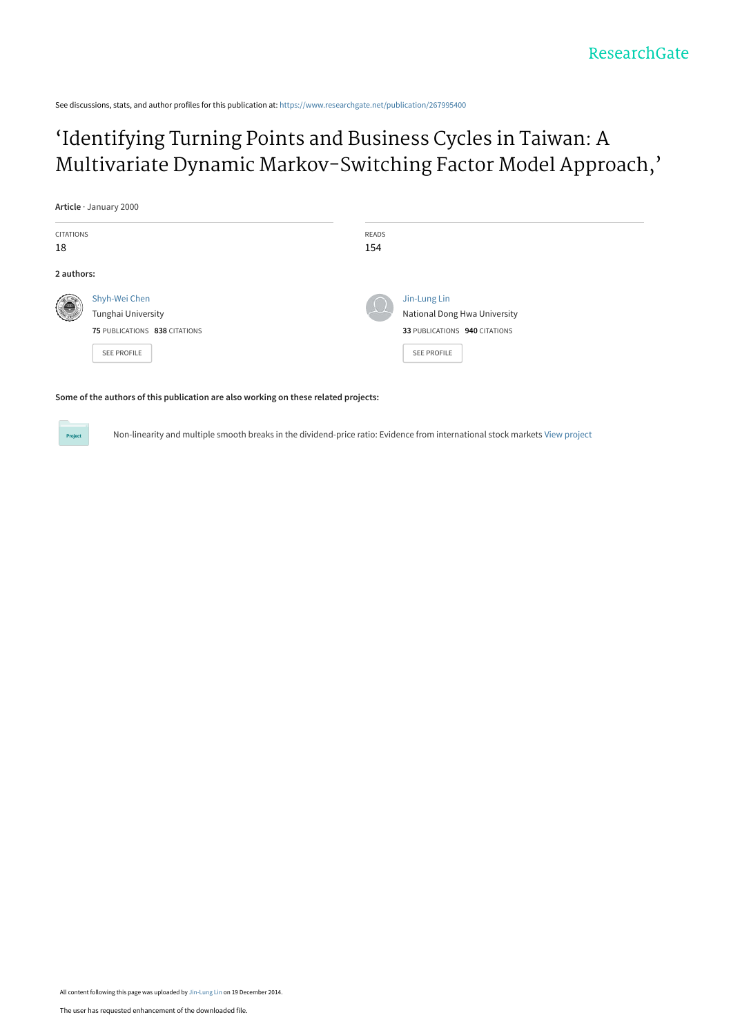See discussions, stats, and author profiles for this publication at: [https://www.researchgate.net/publication/267995400](https://www.researchgate.net/publication/267995400_%27Identifying_Turning_Points_and_Business_Cycles_in_Taiwan_A_Multivariate_Dynamic_Markov-Switching_Factor_Model_Approach%27?enrichId=rgreq-b4a36461c93cefe5b2cecc1001555852-XXX&enrichSource=Y292ZXJQYWdlOzI2Nzk5NTQwMDtBUzoxNzYxMTA4MjY0MzQ1NjFAMTQxODk5OTUwMTg4OA%3D%3D&el=1_x_2&_esc=publicationCoverPdf)

# 'Identifying Turning Points and Business Cycles in Taiwan: A [Multivariate Dynamic Markov-Switching Factor Model Approach,'](https://www.researchgate.net/publication/267995400_%27Identifying_Turning_Points_and_Business_Cycles_in_Taiwan_A_Multivariate_Dynamic_Markov-Switching_Factor_Model_Approach%27?enrichId=rgreq-b4a36461c93cefe5b2cecc1001555852-XXX&enrichSource=Y292ZXJQYWdlOzI2Nzk5NTQwMDtBUzoxNzYxMTA4MjY0MzQ1NjFAMTQxODk5OTUwMTg4OA%3D%3D&el=1_x_3&_esc=publicationCoverPdf)

**Article** · January 2000

Project

| <b>CITATIONS</b> |                               | READS |                               |
|------------------|-------------------------------|-------|-------------------------------|
| 18               |                               | 154   |                               |
| 2 authors:       |                               |       |                               |
| 4ê               | Shyh-Wei Chen                 |       | Jin-Lung Lin                  |
|                  | Tunghai University            |       | National Dong Hwa University  |
|                  | 75 PUBLICATIONS 838 CITATIONS |       | 33 PUBLICATIONS 940 CITATIONS |
|                  | <b>SEE PROFILE</b>            |       | <b>SEE PROFILE</b>            |
|                  |                               |       |                               |

### **Some of the authors of this publication are also working on these related projects:**

Non-linearity and multiple smooth breaks in the dividend-price ratio: Evidence from international stock markets [View project](https://www.researchgate.net/project/Non-linearity-and-multiple-smooth-breaks-in-the-dividend-price-ratio-Evidence-from-international-stock-markets?enrichId=rgreq-b4a36461c93cefe5b2cecc1001555852-XXX&enrichSource=Y292ZXJQYWdlOzI2Nzk5NTQwMDtBUzoxNzYxMTA4MjY0MzQ1NjFAMTQxODk5OTUwMTg4OA%3D%3D&el=1_x_9&_esc=publicationCoverPdf)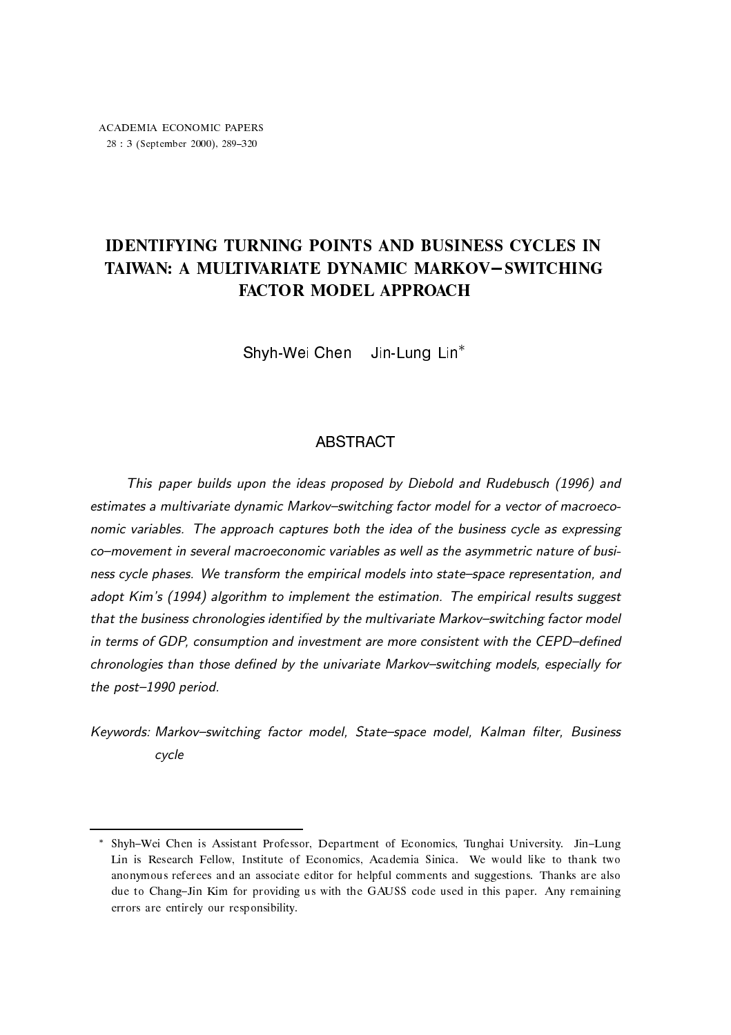# IDENTIFYING TURNING POINTS AND BUSINESS CYCLES IN TAIWAN: A MULTIVARIATE DYNAMIC MARKOV-SWITCHING **FACTOR MODEL APPROACH**

Shyh-Wei Chen Jin-Lung Lin<sup>\*</sup>

### **ABSTRACT**

 This paper builds upon the ideas proposed by Diebold and Rudebusch (1996) and estimates a multivariate dynamic Markov–switching factor model for a vector of macroeconomic variables. The approach captures both the idea of the business cycle as expressing co–movement in several macroeconomic variables as well as the asymmetric nature of business cycle phases. We transform the empirical models into state–space representation, and adopt Kim's (1994) algorithm to implement the estimation. The empirical results suggest that the business chronologies identified by the multivariate Markov–switching factor model in terms of GDP, consumption and investment are more consistent with the CEPD–defined chronologies than those defined by the univariate Markov–switching models, especially for the post–1990 period.

Keywords: Markov–switching factor model, State–space model, Kalman filter, Business cycle

<sup>\*</sup> Shyh–Wei Chen is Assistant Professor, Department of Economics, Tunghai University. Jin–Lung — Institute of Economics-Institute of Economics-Institute of Economics-Institute thank the thank two constants anonymous referees and an associate editor for helpful comments and suggestions Thanks are also due to Chang-Jin Kim for providing us with the GAUSS code used in this paper. Any remaining errors are entirely our responsibility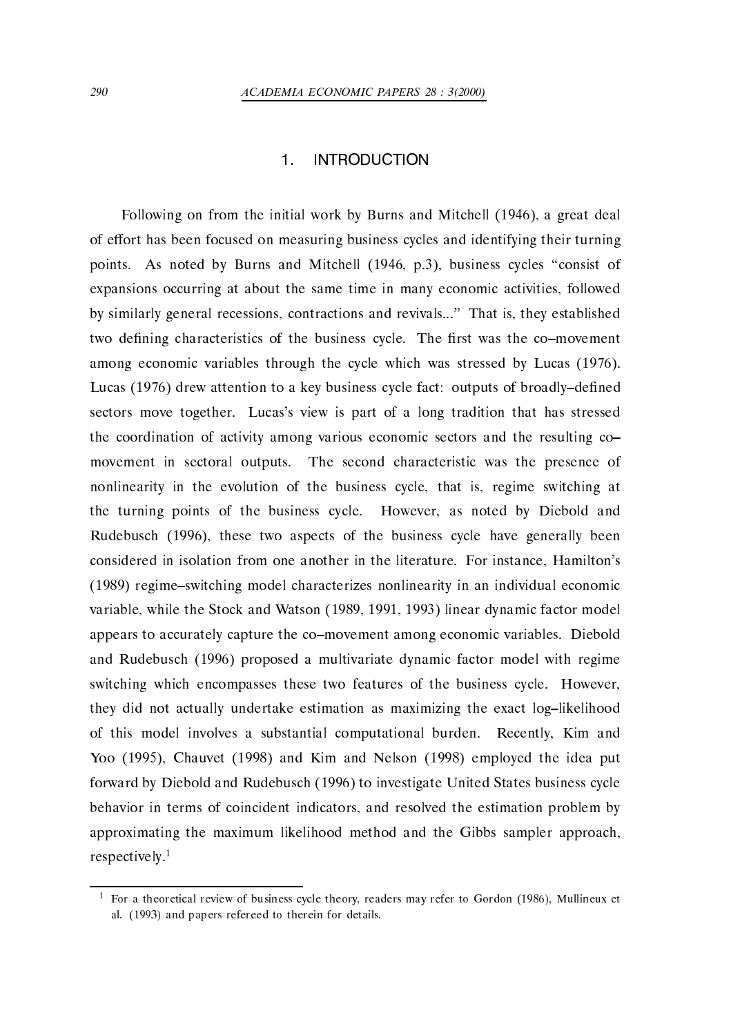### **INTRODUCTION**

Following on from the initial work by Burns and Mitchell - a great deal of effort has been focused on measuring business cycles and identifying their turning points are points and  $\mathcal{A}$  and  $\mathcal{A}$  and  $\mathcal{A}$  and  $\mathcal{A}$  are points of  $\mathcal{A}$  and  $\mathcal{A}$ expansions occurring at about the same time in many economic activities, followed by similarly general recessions, contractions and revivals..." That is, they established two defining characteristics of the business cycle. The first was the co-movement among economic variables through the cycle which was stressed by Lucas - Lucas - drew attention to a key business cycle fact outputs of broadlyde
ned sectors move together. Lucas's view is part of a long tradition that has stressed the coordination of activity among various economic sectors and the resulting co movement in sectoral outputs. The second characteristic was the presence of nonlinearity in the evolution of the business cycle, that is, regime switching at the turning points of the business cycle. However, as noted by Diebold and ervorbusch (progly hered the bupiers of here business cycle have generally been considered in isolation from one another in the literature. For instance, Hamilton's - regimeswitching model characterizes nonlinearity in an individual economic variable while the Stock and Watson - Watson - Watson - Watson - Watson - Watson - Watson - Watson - Watson - W appears to accurately capture the co-movement among economic variables. Diebold and Rudebusch - proposed a multivariate dynamic factor model with regime switching which encompasses these two features of the business cycle. However, they did not actually undertake estimation as maximizing the exact log-likelihood of this model involves a substantial computational burden. Recently, Kim and You are considered the interest of the interest of the interest of the interest of the interest of the interest forward by Diebold and Rudebusch - to investigate United States business cycle behavior in terms of coincident indicators, and resolved the estimation problem by approximating the maximum likelihood method and the Gibbs sampler approach respectively.<sup>1</sup>

For a theoretical review of business cycle theory- readers may refer to Gordon - Mullineux et al and papers refereed to therein for details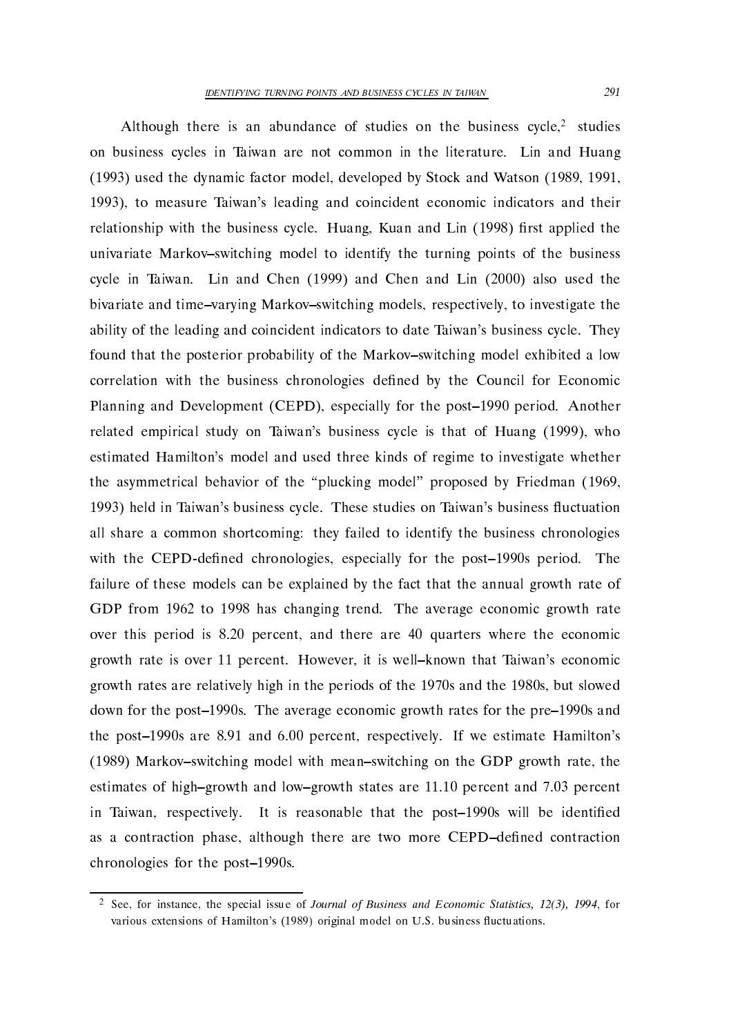Although there is an abundance of studies on the business  $cycle<sup>2</sup>$  studies on business cycles in Taiwan are not common in the literature. Lin and Huang - used the dynamic factor model developed by Stock and Watson - -- - to measure Taiwans leading and coincident economic indicators and their relationship with the business cycle Huang Kuan and Lin - 
rst applied the univariate Markov-switching model to identify the turning points of the business cycle in Taiwan — and Chen and Chen and Chen and Line (Theory and Chen and Chen and bivariate and time-varying Markov-switching models, respectively, to investigate the ability of the leading and coincident indicators to date Taiwan's business cycle. They found that the posterior probability of the Markov-switching model exhibited a low correlation with the business chronologies defined by the Council for Economic Planning and Development CEPD especially for the post- period Another related the components in the two Taiwans business cycle is that of Huang (Hold ), who is the control of Huang estimated Hamilton's model and used three kinds of regime to investigate whether the asymmetrical behavior of the plucking model of the plucking model  $\mathbf{p}$ - held in Taiwans business cycle These studies on Taiwans business uctuation all share a common shortcoming: they failed to identify the business chronologies with the CEPD standard chronologies especially for the post-called post-called the state of the postfailure of these models can be explained by the fact that the annual growth rate of . The from the changing trends of an average exchanging the average exchanging the average exchanging the contr over this period is 8.20 percent, and there are 40 quarters where the economic growth rate is over - percent is well known that Taiwans experiences in the Taiwans economic is well as the Taiwans economic is well as the taiwans economic is well as the taiwans economic is well as the Taiwans economic i growth rates are relatively high in the periods of the periods of the periods of the  $\mu$ down for the post-s The average economic growth rates for the pre-s and the post-post-post-post-post-percent respectively. The percent respectively is a set of the percent respective , with model with model with means with means with means  $\alpha$  and  $\alpha$  growth rate, the GDP growth rate the GDP growth rate the GDP growth rate the GDP growth rate of  $\alpha$ estimates of highest states are - percent and lowgrowth states are - percent and  $p$ in Taiwan respectively It is reasonable that the post-s will be identi
ed as a contraction phase, although there are two more CEPD-defined contraction chronologies for the post-based of the post-based of the post-based of the post-based of the post-based of the

 $\sim$  See, for instance, the special issue of *Journal of Business and Economic Statistics*,  $12(3)$ ,  $1994$ , for various extensions of Hamilton's (1989) original model on U.S. business fluctuations.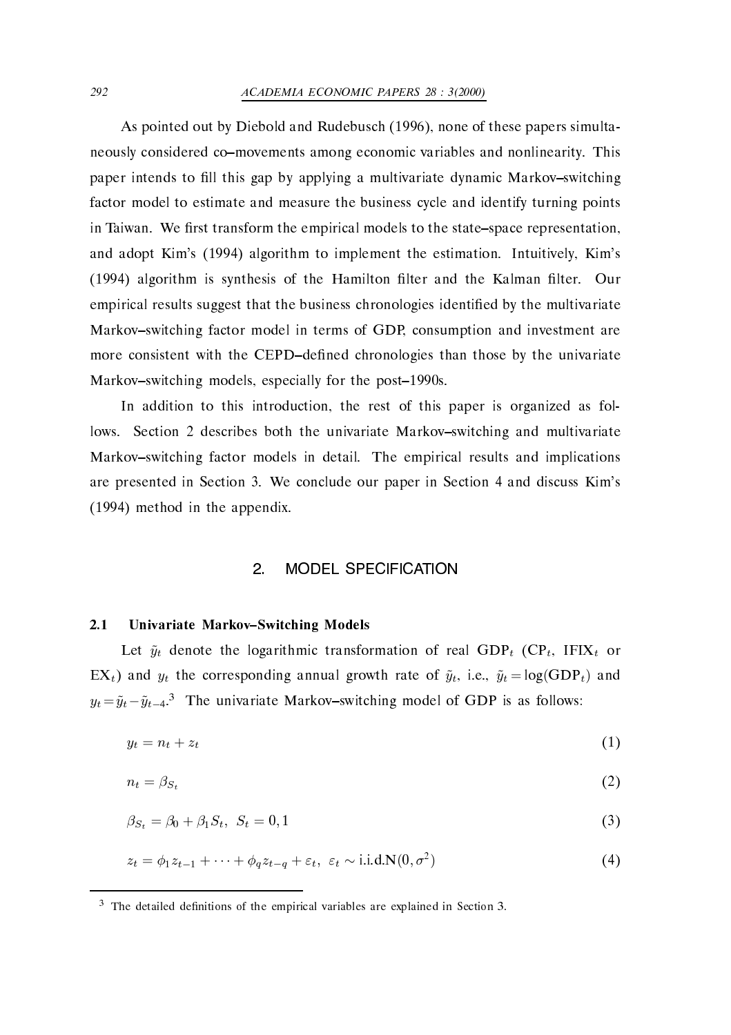### ACADEMIA ECONOMIC PAPERS -

as pointed out by Diebold and Rudebusch - the signed of these papers simultants and  $\mathcal{L}_{\mathcal{A}}$ neously considered co-movements among economic variables and nonlinearity. This paper intends to fill this gap by applying a multivariate dynamic Markov-switching factor model to estimate and measure the business cycle and identify turning points in Taiwan. We first transform the empirical models to the state–space representation, and adopt Kims - (i.e. ) implement to implement the economics continues of the estimation lter is synthesis of the Hamilton of the Kalman and the Hamilton and the Hamilton of the Kalman and the Kalman empirical results suggest that the business chronologies identified by the multivariate Markov-switching factor model in terms of GDP, consumption and investment are more consistent with the CEPD-defined chronologies than those by the univariate  $\mathcal{M}$  and the post-correlation models especially for the post-correlation models especially for the post-correlation models especially for the post-correlation models especially for the post-correlation models. The pos

In addition to this introduction, the rest of this paper is organized as follows. Section 2 describes both the univariate Markov-switching and multivariate Markov-switching factor models in detail. The empirical results and implications are presented in Section We conclude our paper in Section and discuss Kims - method in the appendix 

#### **MODEL SPECIFICATION**  $\overline{2}$

### Univariate Markov-Switching Models

Let  $\tilde{y}_t$  denote the logarithmic transformation of real GDP<sub>t</sub> (CP<sub>t</sub>, IFIX<sub>t</sub> or EX<sub>t</sub>) and  $y_t$  the corresponding annual growth rate of  $\tilde{y}_t$ , i.e.,  $\tilde{y}_t = \log(\text{GDP}_t)$  and  $y_t = \tilde{y}_t - \tilde{y}_{t-4}$ <sup>3</sup>. The univariate Markov-switching model of GDP is as follows:

$$
y_t = n_t + z_t \tag{1}
$$

$$
n_t = \beta_{S_t} \tag{2}
$$

$$
\beta_{S_t} = \beta_0 + \beta_1 S_t, \ S_t = 0, 1 \tag{3}
$$

$$
z_t = \phi_1 z_{t-1} + \dots + \phi_q z_{t-q} + \varepsilon_t, \ \varepsilon_t \sim \text{i.i.d.} N(0, \sigma^2)
$$
 (4)

The detailed definitions of the empirical variables are explained in Section 5.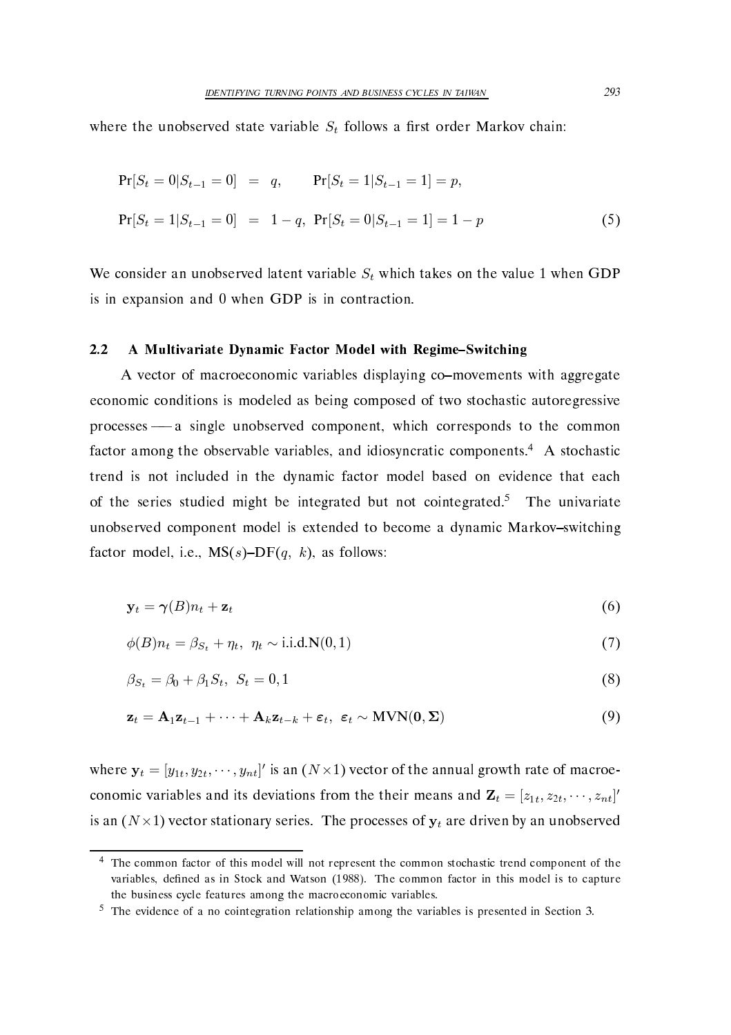where the unobserved state variable  $S_t$  follows a first order Markov chain:

$$
Pr[S_t = 0 | S_{t-1} = 0] = q, \t Pr[S_t = 1 | S_{t-1} = 1] = p,
$$
  

$$
Pr[S_t = 1 | S_{t-1} = 0] = 1 - q, \Pr[S_t = 0 | S_{t-1} = 1] = 1 - p \t (5)
$$

We consider an unobserved latent variable  $S_t$  which takes on the value 1 when GDP is in expansion and  $0$  when GDP is in contraction.

### A Multivariate Dynamic Factor Model with Regime-Switching

A vector of macroeconomic variables displaying co-movements with aggregate economic conditions is modeled as being composed of two stochastic autoregressive processes - a single unobserved component, which corresponds to the common factor among the observable variables, and idiosyncratic components.<sup>4</sup> A stochastic trend is not included in the dynamic factor model based on evidence that each of the series studied might be integrated but not cointegrated.<sup>5</sup> The univariate unobserved component model is extended to become a dynamic Markov-switching factor model, i.e.,  $MS(s)-DF(q, k)$ , as follows:

$$
\mathbf{y}_t = \boldsymbol{\gamma}(B)n_t + \mathbf{z}_t \tag{6}
$$

$$
\phi(B)n_t = \beta_{S_t} + \eta_t, \ \eta_t \sim \text{i.i.d.}N(0,1) \tag{7}
$$

$$
\beta_{S_t} = \beta_0 + \beta_1 S_t, \ S_t = 0, 1 \tag{8}
$$

$$
\mathbf{z}_t = \mathbf{A}_1 \mathbf{z}_{t-1} + \dots + \mathbf{A}_k \mathbf{z}_{t-k} + \varepsilon_t, \ \varepsilon_t \sim \text{MVN}(\mathbf{0}, \boldsymbol{\Sigma})
$$
(9)

where  $\mathbf{y}_t = [y_{1t}, y_{2t}, \cdots, y_{nt}]^\prime$  is an  $(N \times 1)$  vector of the annual growth rate of macroeconomic variables and its deviations from the their means and  $\mathbf{Z}_t = [z_{1t}, z_{2t}, \cdots, z_{nt}]'$ is an  $(N \times 1)$  vector stationary series. The processes of  $\mathbf{y}_t$  are driven by an unobserved

 $\pm$  1 ne common factor of this model will not represent the common stochastic trend component of the  $\pm$  $\mathcal{N}$  in Stock and Watson in The common factor in this model is to capture in this model is to capture in this model is to capture in this model is to capture in the common factor in the common factor in the common fac the business cycle features among the macroeconomic variables

The evidence of a no cointegration relationship among the variables is presented in Section 3.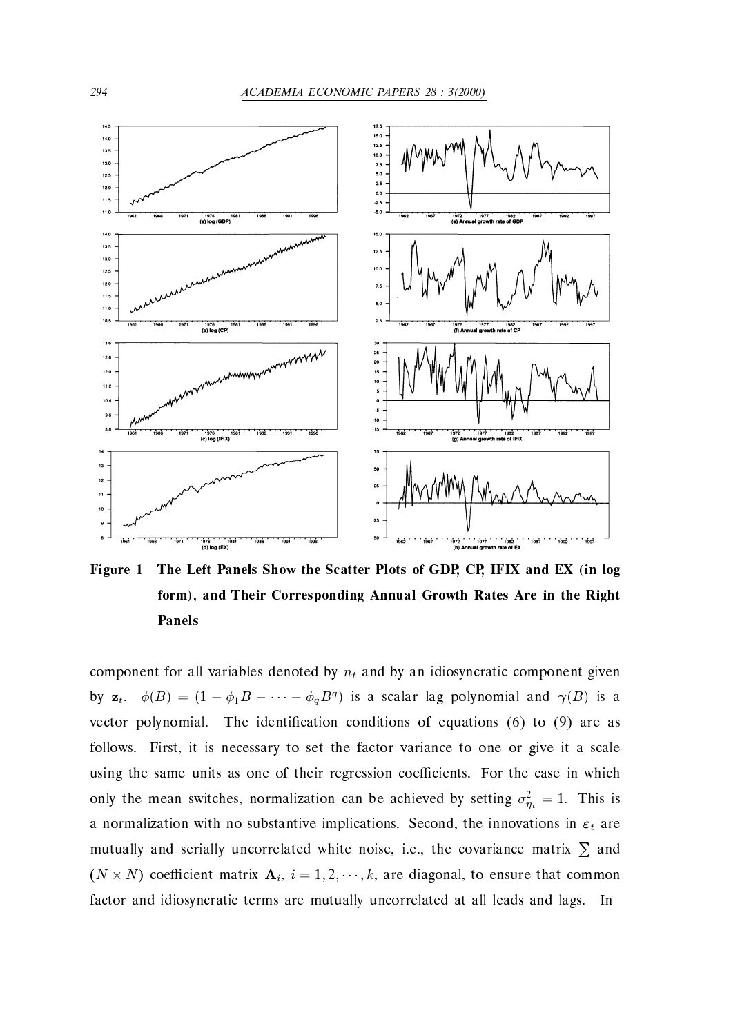

Figure 1 The Left Panels Show the Scatter Plots of GDP, CP, IFIX and EX (in log form), and Their Corresponding Annual Growth Rates Are in the Right Panels

component for all variables denoted by  $n_t$  and by an idiosyncratic component given by  $\mathbf{z}_t$ .  $\phi(B)=(1-\phi_1B-\cdots-\phi_qB^q)$  is a scalar lag polynomial and  $\gamma(B)$  is a vector polynomial. The identification conditions of equations (6) to (9) are as follows. First, it is necessary to set the factor variance to one or give it a scale using the same units as one of their regression coefficients. For the case in which only the mean switches, normalization can be achieved by setting  $\sigma_{\eta_t}^2 = 1$ . This is a normalization with no substantive implications. Second, the innovations in  $\varepsilon_t$  are mutually and serially uncorrelated white noise, i.e., the covariance matrix  $\Sigma$  and  $(N \times N)$  coefficient matrix  $A_i$ ,  $i = 1, 2, \dots, k$ , are diagonal, to ensure that common factor and idiosyncratic terms are mutually uncorrelated at all leads and lags. In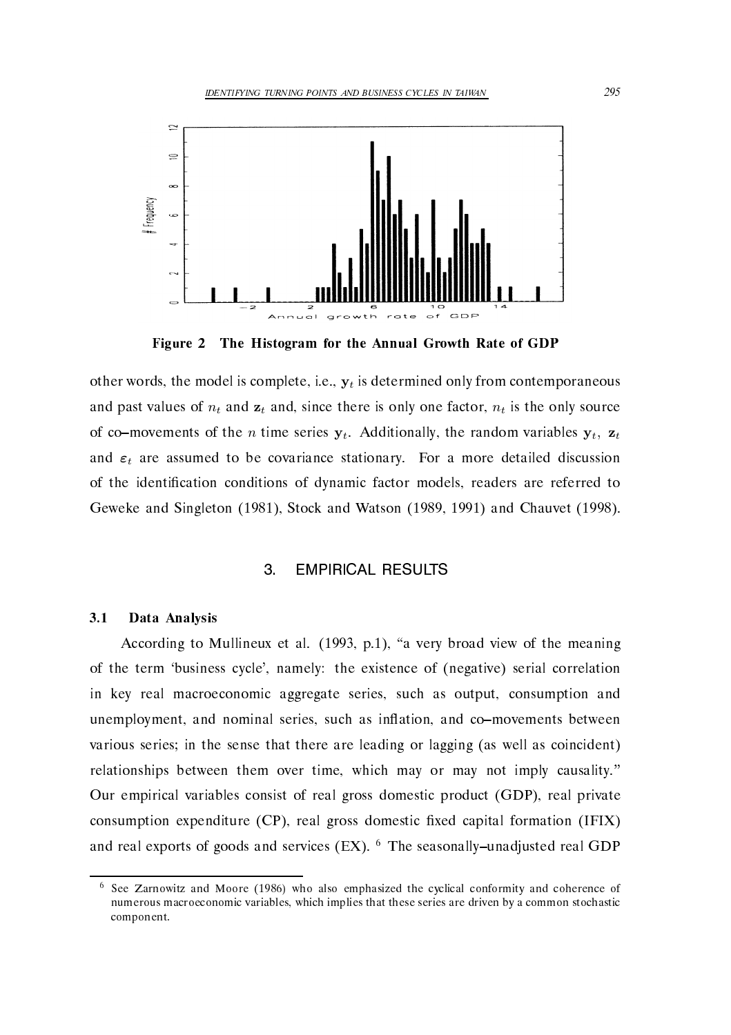

Figure 2 The Histogram for the Annual Growth Rate of GDP

other words, the model is complete, i.e.,  $y_t$  is determined only from contemporaneous and past values of  $n_t$  and  $\mathbf{z}_t$  and, since there is only one factor,  $n_t$  is the only source of co-movements of the *n* time series  $y_t$ . Additionally, the random variables  $y_t$ ,  $z_t$ and  $\varepsilon_t$  are assumed to be covariance stationary. For a more detailed discussion of the identi
cation conditions of dynamic factor models readers are referred to Geweke and Singleton -- Stock and Watson - -- and Chauvet - 

#### **EMPIRICAL RESULTS** 3

#### $3.1$ Data Analysis

a vers and mulling the meaning of the meaning of the meaning of the meaning of the meaning of the meaning of th of the term 'business cycle', namely: the existence of (negative) serial correlation in key real macroeconomic aggregate series, such as output, consumption and unemployment, and nominal series, such as inflation, and co-movements between various series; in the sense that there are leading or lagging (as well as coincident) relationships between them over time, which may or may not imply causality." Our empirical variables consist of real gross domestic product (GDP), real private consumption expenditure  $(CP)$ , real gross domestic fixed capital formation  $(IFIX)$ and real exports of goods and services (EX).  $^6$  The seasonally–unadjusted real GDP

 $\sim$  See Zarnowitz and Moore (1960) who also emphasized the cyclical comornity and coherence of numerous macroeconomic variables- which implies that these series are driven by a common stochastic component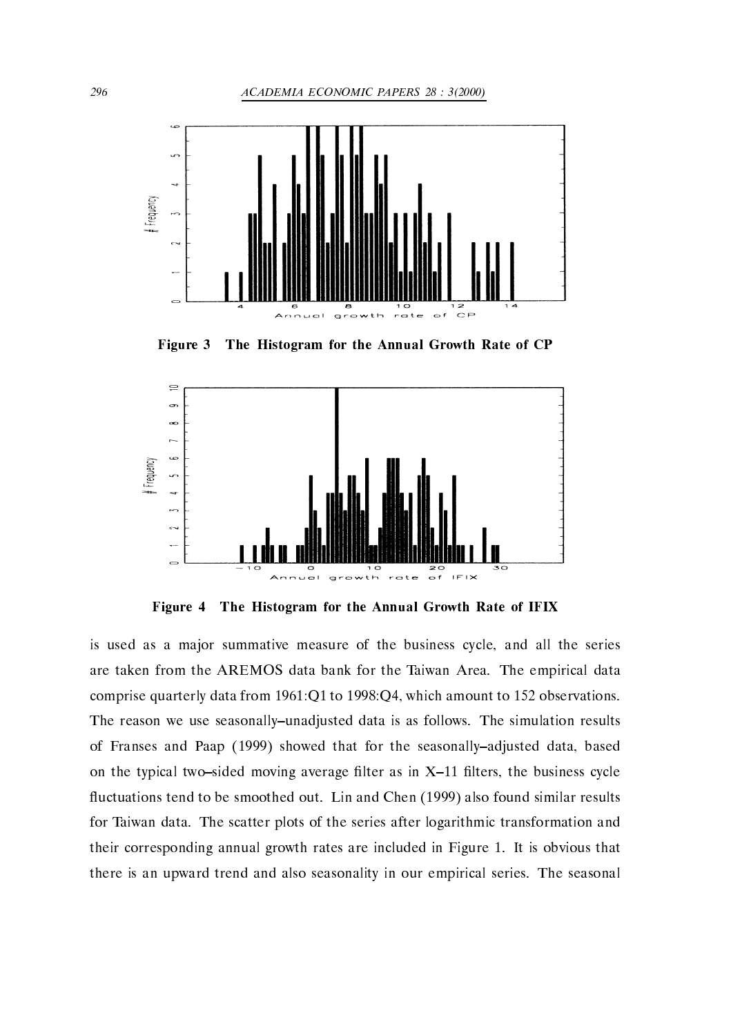

Figure 3 The Histogram for the Annual Growth Rate of CP



Figure 4 The Histogram for the Annual Growth Rate of IFIX

is used as a major summative measure of the business cycle, and all the series are taken from the AREMOS data bank for the Taiwan Area. The empirical data comprise quarterly data from --Q- to -Q which amount to - observations The reason we use seasonally–unadjusted data is as follows. The simulation results of Franses and Paap - showed that for the seasonallyadjusted data based the the typical two states are in  $\mathbf{a}_i$  as in the business controlled as in the business cycle of the business cycle uctuations tend to be smoothed out Lin and Chen - also found similar results for Taiwan data. The scatter plots of the series after logarithmic transformation and  $\mathbf r$  corresponding annual growth rates are included in Figure - included in Figure - included in Figure - included in Figure - included in Figure - included in Figure - included in Figure - included in Figure - included there is an upward trend and also seasonality in our empirical series. The seasonal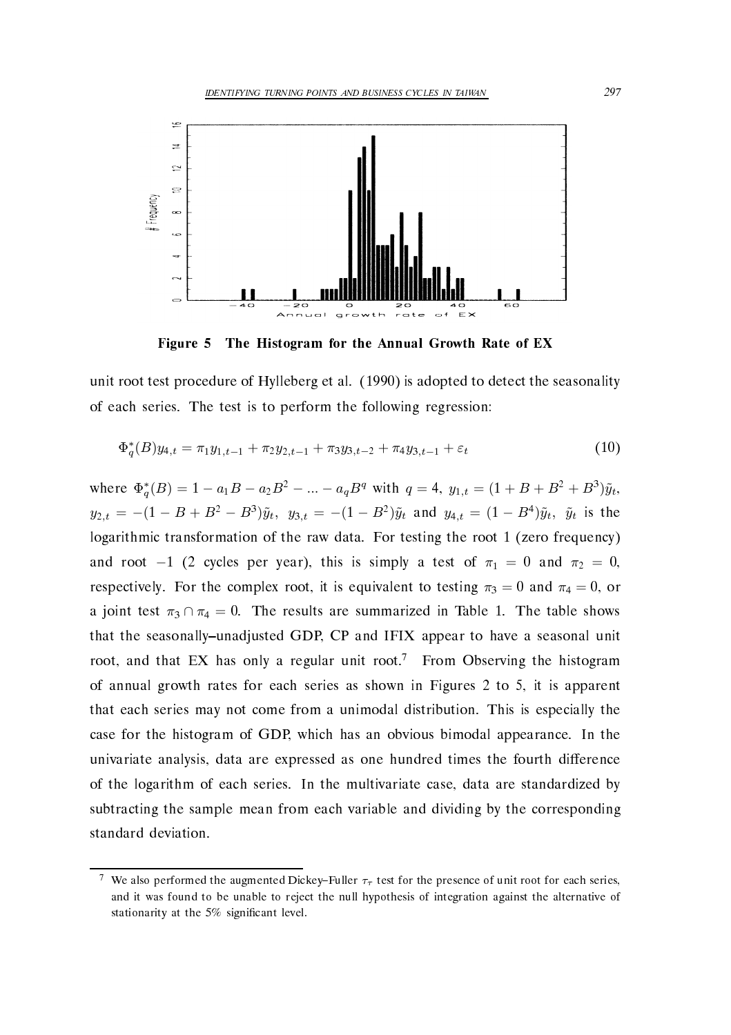

Figure The Histogram for the Annual Growth Rate of EX

unit root test procedure of Hylleberg et all  $\mathcal{E}$  and  $\mathcal{E}$  is adopted to detect the seasonality of the seasonality of each series. The test is to perform the following regression:

$$
\Phi_q^*(B)y_{4,t} = \pi_1 y_{1,t-1} + \pi_2 y_{2,t-1} + \pi_3 y_{3,t-2} + \pi_4 y_{3,t-1} + \varepsilon_t
$$
\n(10)

where  $\Phi_q^*(B) = 1 - a_1B - a_2B^2 - ... - a_qB^q$  with  $q = 4$ ,  $y_{1,t} = (1 + B + B^2 + B^3)\tilde{y}_t$ ,  $y_{2,t} = -(1 - B + B^2 - B^3)\tilde{y}_t$ ,  $y_{3,t} = -(1 - B^2)\tilde{y}_t$  and  $y_{4,t} = (1 - B^4)\tilde{y}_t$ ,  $\tilde{y}_t$  is the logarithmic transformation of the raw data For testing the root - zero frequency and root -1 (2 cycles per year), this is simply a test of  $\pi_1 = 0$  and  $\pi_2 = 0$ , respectively. For the complex root, it is equivalent to testing  $\pi_3 = 0$  and  $\pi_4 = 0$ , or a joint test  $\pi_3 \cap \pi_4 = 0$ . The results are summarized in Table 1. The table shows that the seasonally-unadjusted GDP, CP and IFIX appear to have a seasonal unit root, and that EX has only a regular unit root.<sup>7</sup> From Observing the histogram of annual growth rates for each series as shown in Figures 2 to 5, it is apparent that each series may not come from a unimodal distribution. This is especially the case for the histogram of GDP, which has an obvious bimodal appearance. In the univariate analysis, data are expressed as one hundred times the fourth difference of the logarithm of each series. In the multivariate case, data are standardized by subtracting the sample mean from each variable and dividing by the corresponding standard deviation 

We also performed the augmented Dickey–Fuller  $\tau_{\tau}$  test for the presence of unit root for each series, and it was found to be unable to reject the null hypothesis of integration against the alternative of stationarity at the 5% significant level.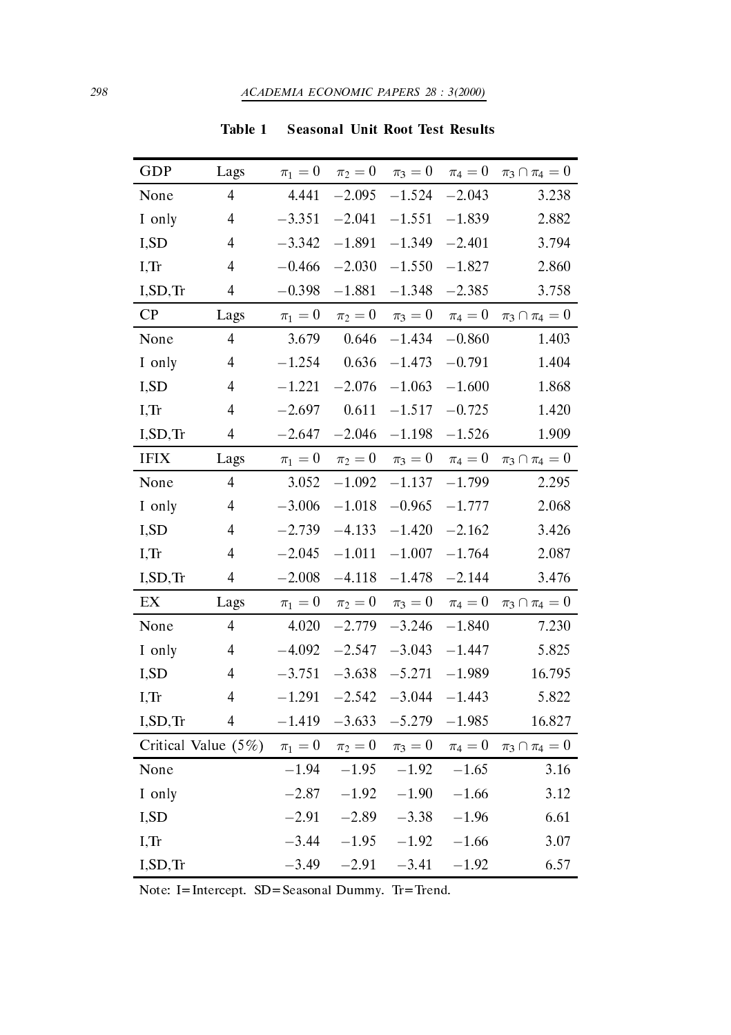| GDP                        | Lags                    | $\pi_1=0$ | $\pi_2=0$  | $\pi_3=0$               | $\pi_4=0$ | $\pi_3 \cap \pi_4 = 0$             |
|----------------------------|-------------------------|-----------|------------|-------------------------|-----------|------------------------------------|
| None                       | $\overline{4}$          | 4.441     | $-2.095$   | $-1.524$                | $-2.043$  | 3.238                              |
| I only                     | $\overline{4}$          | $-3.351$  | $-2.041$   | $-1.551$                | $-1.839$  | 2.882                              |
| I,SD                       | $\overline{4}$          | $-3.342$  | $-1.891$   | $-1.349$                | $-2.401$  | 3.794                              |
| $I,$ Tr                    | $\overline{4}$          | $-0.466$  | $-2.030$   | $-1.550$                | $-1.827$  | 2.860                              |
| I, SD, Tr                  | $\overline{4}$          | $-0.398$  | $-1.881$   | $-1.348$                | $-2.385$  | 3.758                              |
| CP                         | Lags                    | $\pi_1=0$ |            | $\pi_2 = 0$ $\pi_3 = 0$ | $\pi_4=0$ | $\pi_3 \cap \pi_4 = 0$             |
| None                       | $\overline{4}$          | 3.679     | 0.646      | $-1.434$                | $-0.860$  | 1.403                              |
| I only                     | $\overline{4}$          | $-1.254$  | 0.636      | $-1.473$                | $-0.791$  | 1.404                              |
| I,SD                       | $\overline{4}$          | $-1.221$  | $-2.076$   | $-1.063$                | $-1.600$  | 1.868                              |
| I, Tr                      | $\overline{4}$          | $-2.697$  | 0.611      | $-1.517$                | $-0.725$  | 1.420                              |
| I, SD, Tr                  | $\overline{4}$          | $-2.647$  | $-2.046$   | $-1.198$                | $-1.526$  | 1.909                              |
| <b>IFIX</b>                | Lags                    | $\pi_1=0$ |            | $\pi_2 = 0$ $\pi_3 = 0$ |           | $\pi_4 = 0$ $\pi_3 \cap \pi_4 = 0$ |
| None                       | $\overline{4}$          | 3.052     | $-1.092$   | $-1.137$                | $-1.799$  | 2.295                              |
| I only                     | $\overline{4}$          | $-3.006$  | $-1.018\,$ | $-0.965$                | $-1.777$  | 2.068                              |
| I,SD                       | $\overline{\mathbf{4}}$ | $-2.739$  | $-4.133$   | $-1.420$                | $-2.162$  | 3.426                              |
| $I,$ Tr                    | $\overline{\mathbf{4}}$ | $-2.045$  | $-1.011$   | $-1.007$                | $-1.764$  | 2.087                              |
| I, SD, Tr                  | $\overline{4}$          | $-2.008$  | $-4.118$   | $-1.478$                | $-2.144$  | 3.476                              |
| $\mathop{\rm EX}\nolimits$ | Lags                    | $\pi_1=0$ |            | $\pi_2 = 0$ $\pi_3 = 0$ | $\pi_4=0$ | $\pi_3 \cap \pi_4 = 0$             |
| None                       | $\overline{4}$          | 4.020     | $-2.779$   | $-3.246$                | $-1.840$  | 7.230                              |
| I only                     | $\overline{\mathbf{4}}$ | $-4.092$  | $-2.547$   | $-3.043$                | $-1.447$  | 5.825                              |
| I,SD                       | $\overline{4}$          | $-3.751$  | $-3.638$   | $-5.271$                | $-1.989$  | 16.795                             |
| I, Tr                      | $\overline{4}$          | $-1.291$  | $-2.542$   | $-3.044$                | $-1.443$  | 5.822                              |
| I, SD, Tr                  | $\overline{4}$          | $-1.419$  | $-3.633$   | $-5.279$                | $-1.985$  | 16.827                             |
|                            | Critical Value (5%)     | $\pi_1=0$ | $\pi_2=0$  | $\pi_3 = 0$             | $\pi_4=0$ | $\pi_3 \cap \pi_4 = 0$             |
| None                       |                         | $-1.94$   | $-1.95$    | $-1.92$                 | $-1.65$   | 3.16                               |
| I only                     |                         | $-2.87$   | $-1.92$    | $-1.90$                 | $-1.66$   | 3.12                               |
| I,SD                       |                         | $-2.91$   | $-2.89$    | $-3.38$                 | $-1.96$   | 6.61                               |
| I, Tr                      |                         | $-3.44$   | $-1.95$    | $-1.92$                 | $-1.66$   | 3.07                               |
| I, SD, Tr                  |                         | $-3.49$   | $-2.91$    | $-3.41$                 | $-1.92$   | 6.57                               |

Table 1 Seasonal Unit Root Test Results

Note I-Intercept SD-Seasonal Dummy Tr-Trend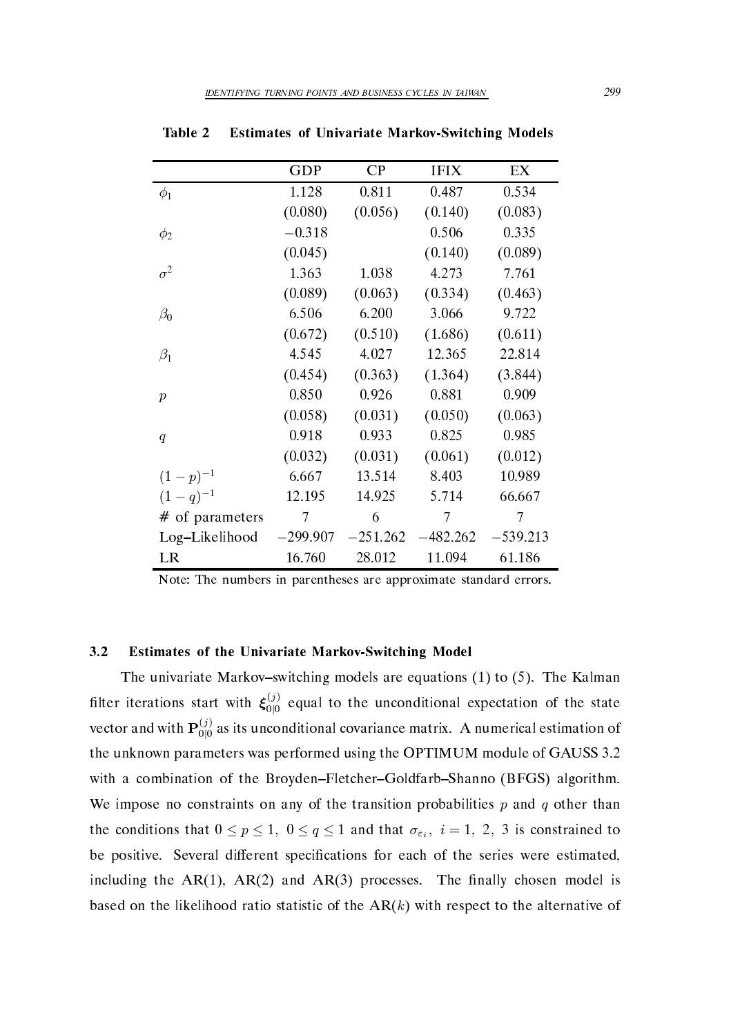|                   | GDP        | $\mathsf{C}\mathsf{P}$ | <b>IFIX</b> | EX         |
|-------------------|------------|------------------------|-------------|------------|
| $\phi_1$          | 1.128      | 0.811                  | 0.487       | 0.534      |
|                   | (0.080)    | (0.056)                | (0.140)     | (0.083)    |
| $\phi_2$          | $-0.318$   |                        | 0.506       | 0.335      |
|                   | (0.045)    |                        | (0.140)     | (0.089)    |
| $\sigma^2$        | 1.363      | 1.038                  | 4.273       | 7.761      |
|                   | (0.089)    | (0.063)                | (0.334)     | (0.463)    |
| $\beta_0$         | 6.506      | 6.200                  | 3.066       | 9.722      |
|                   | (0.672)    | (0.510)                | (1.686)     | (0.611)    |
| $\beta_1$         | 4.545      | 4.027                  | 12.365      | 22.814     |
|                   | (0.454)    | (0.363)                | (1.364)     | (3.844)    |
| $\boldsymbol{p}$  | 0.850      | 0.926                  | 0.881       | 0.909      |
|                   | (0.058)    | (0.031)                | (0.050)     | (0.063)    |
| q                 | 0.918      | 0.933                  | 0.825       | 0.985      |
|                   | (0.032)    | (0.031)                | (0.061)     | (0.012)    |
| $(1-p)^{-1}$      | 6.667      | 13.514                 | 8.403       | 10.989     |
| $(1-q)^{-1}$      | 12.195     | 14.925                 | 5.714       | 66.667     |
| $#$ of parameters | 7          | 6                      | 7           | 7          |
| Log-Likelihood    | $-299.907$ | $-251.262$             | 482.262     | $-539.213$ |
| LR                | 16.760     | 28.012                 | 11.094      | 61.186     |

Table 2 Estimates of Univariate Markov-Switching Models

Note: The numbers in parentheses are approximate standard errors.

### Estimates of the Univariate Markov-Switching Model

the university from the Markovski models are equations (i) if (i) the top completes filter iterations start with  $\xi_{0|0}^{(j)}$  equal to the unconditional expectation of the state vector and with  ${\bf P}_{0|0}^{(j)}$  as its unconditional covariance matrix. A numerical estimation of the unknown parameters was performed using the  $\mathcal{P}$ with a combination of the Broyden–Fletcher–Goldfarb–Shanno (BFGS) algorithm. We impose no constraints on any of the transition probabilities  $p$  and  $q$  other than the conditions that  $0 \le p \le 1$ ,  $0 \le q \le 1$  and that  $\sigma_{\varepsilon_i}$ ,  $i = 1, 2, 3$  is constrained to be positive. Several different specifications for each of the series were estimated, including the AR-Q-Q are and AR-Q-Q processes. The Manager model is the set of  $\sim$ based on the likelihood ratio statistic of the  $AR(k)$  with respect to the alternative of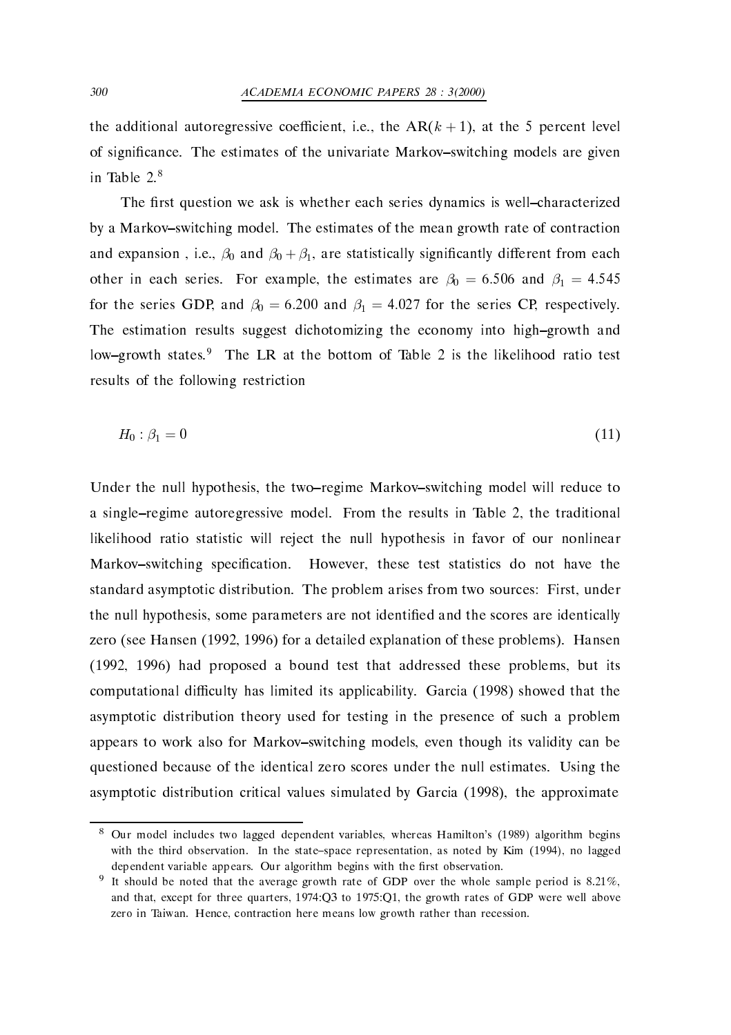the additional autoregressive coefficient, i.e., the  $AR(k + 1)$ , at the 5 percent level of significance. The estimates of the univariate Markov-switching models are given in Table  $2.8$ 

The first question we ask is whether each series dynamics is well-characterized by a Markov-switching model. The estimates of the mean growth rate of contraction and expansion, i.e.,  $\beta_0$  and  $\beta_0 + \beta_1$ , are statistically significantly different from each other in each series. For example, the estimates are  $\beta_0 = 6.506$  and  $\beta_1 = 4.545$ for the series GDP, and  $\beta_0 = 6.200$  and  $\beta_1 = 4.027$  for the series CP, respectively. The estimation results suggest dichotomizing the economy into high-growth and low-growth states.<sup>9</sup> The LR at the bottom of Table 2 is the likelihood ratio test results of the following restriction

$$
H_0: \beta_1 = 0 \tag{11}
$$

Under the null hypothesis, the two-regime Markov-switching model will reduce to a single-regime autoregressive model. From the results in Table 2, the traditional likelihood ratio statistic will reject the null hypothesis in favor of our nonlinear Markov-switching specification. However, these test statistics do not have the standard asymptotic distribution. The problem arises from two sources: First, under the null hypothesis, some parameters are not identified and the scores are identically zero see Hansen - - for a detailed explanation of these problems Hansen , a bound test that the problems but its that addressed that the problems but its contribution of the second s computational diculture, come include its application, and the process process and that the come asymptotic distribution theory used for testing in the presence of such a problem appears to work also for Markov–switching models, even though its validity can be questioned because of the identical zero scores under the null estimates. Using the asymptotic distribution critical values simulated by Garcia - the approximate

 $\,^{\circ}$  Our model includes two lagged dependent variables, whereas Hamilton's (1989) algorithm begins  $\,$ with the third observation In the state representation-by Kim as noted by Kim as noted by Kim and the state of dependent variable appears. Our algorithm begins with the first observation.

It should be noted that the average growth rate of GDP over the whole sample period is  $0.21\%$ , and that we prove the contract form of the growth  $\mathcal{S}^{(1)}$  and  $\mathcal{S}^{(2)}$  are some well as a contract well above the growth rates of  $\mathcal{S}^{(2)}$ zero in Taiwan Hence- contraction here means low growth rather than recession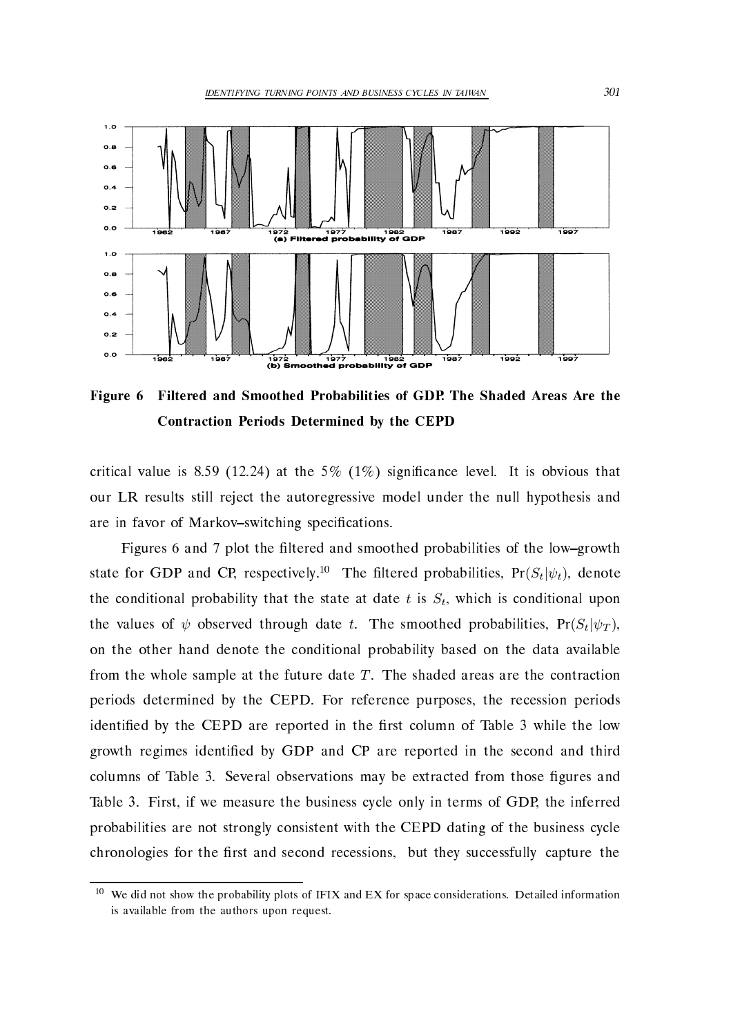

Figure  Filtered and Smoothed Probabilities of GDP- The Shaded Areas Are the Contraction Periods Determined by the CEPD

critical value is significal value is at the complete is obvious that it is obvious that it is obvious that it our LR results still reject the autoregressive model under the null hypothesis and are in favor of Markov-switching specifications.

Figures 6 and 7 plot the filtered and smoothed probabilities of the low-growth state for GDP and CP, respectively.<sup>10</sup> The filtered probabilities,  $Pr(S_t|\psi_t)$ , denote the conditional probability that the state at date t is  $S_t$ , which is conditional upon the values of  $\psi$  observed through date t. The smoothed probabilities,  $Pr(S_t|\psi_T)$ , on the other hand denote the conditional probability based on the data available from the whole sample at the future date  $T$ . The shaded areas are the contraction periods determined by the CEPD. For reference purposes, the recession periods identi
ed by the CEPD are reported in the rst column of Table while the low growth regimes identi
ed by GDP and CP are reported in the second and third columns of Table 2013 and the extracted from the extracted from the extracted from the extracted from those stated from the extracted from the extracted from the extracted from the extracted from the extracted from the ext Table First if we measure the business cycle only in terms of GDP the inferred probabilities are not strongly consistent with the CEPD dating of the business cycle chronologies for the first and second recessions, but they successfully capture the

 $10\,$ We did not show the probability plots of IFIX and EX for space considerations. Detailed information is available from the authors upon request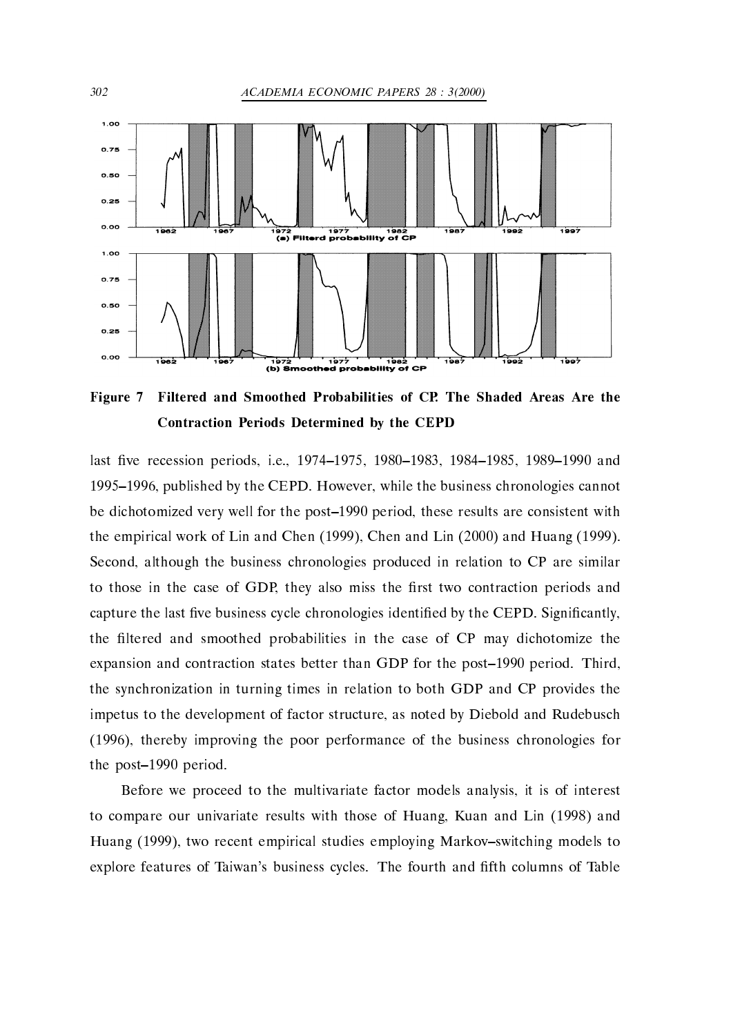

Figure Filtered and Smoothed Probabilities of CP- The Shaded Areas Are the Contraction Periods Determined by the CEPD

last ve recession periods i e -- -- -- -- and - published by the CEPD of the business charges charged business chronologies charges charges the business cha be dichotomized very well for the post- period these results are consistent with the empirical work of Lin and Chen and Chen and Chen and Huang -  $\mathbf{r}$ Second, although the business chronologies produced in relation to CP are similar to those in the case of GDP, they also miss the first two contraction periods and capture the last five business cycle chronologies identified by the CEPD. Significantly, the filtered and smoothed probabilities in the case of CP may dichotomize the expansion and contraction states better than GDP for the post-client post-client than  $\eta$ the synchronization in turning times in relation to both GDP and CP provides the impetus to the development of factor structure, as noted by Diebold and Rudebusch  $\mathbf{t}$  is the poor performance of the poor performance of the business characteristic formation  $\mathbf{t}$ the post- period 

Before we proceed to the multivariate factor models analysis it is of interest to compare our university results with those of Huang Huang County And Lin - 1 And Lin - 1 And Lin - 1 And Lin Huang - two recent empirical studies employing Markovswitching models to explore features of Taiwan's business cycles. The fourth and fifth columns of Table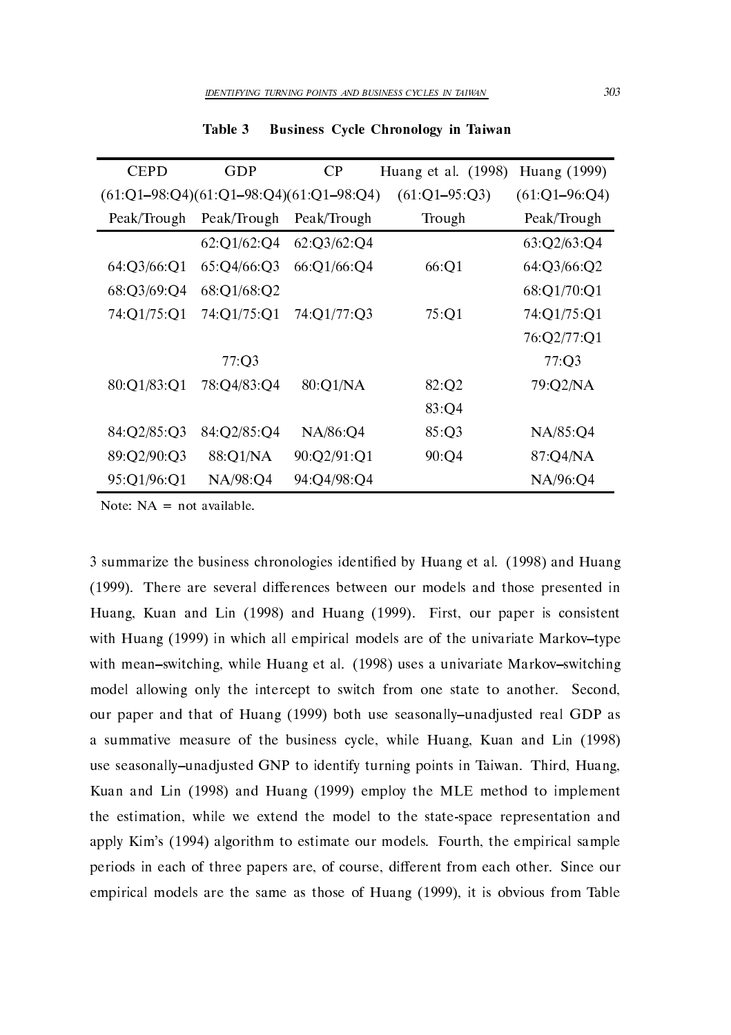| <b>CEPD</b>                               | GDP         | <b>CP</b>   | Huang et al. (1998) | Huang (1999)      |
|-------------------------------------------|-------------|-------------|---------------------|-------------------|
| $(61:Q1-98:Q4)(61:Q1-98:Q4)(61:Q1-98:Q4)$ |             |             | $(61:Q1-95:Q3)$     | $(61:Q1 - 96:Q4)$ |
| Peak/Trough                               | Peak/Trough | Peak/Trough | Trough              | Peak/Trough       |
|                                           | 62:Q1/62:Q4 | 62:03/62:04 |                     | 63:Q2/63:Q4       |
| 64:Q3/66:Q1                               | 65:Q4/66:Q3 | 66:Q1/66:Q4 | 66:Q1               | 64:Q3/66:Q2       |
| 68:Q3/69:Q4                               | 68:Q1/68:Q2 |             |                     | 68:Q1/70:Q1       |
| 74:Q1/75:Q1                               | 74:Q1/75:Q1 | 74:Q1/77:Q3 | 75:Q1               | 74:01/75:01       |
|                                           |             |             |                     | 76:Q2/77:Q1       |
|                                           | 77:Q3       |             |                     | 77:Q3             |
| 80:Q1/83:Q1                               | 78:Q4/83:Q4 | 80:Q1/NA    | 82:O2               | 79:Q2/NA          |
|                                           |             |             | 83:Q4               |                   |
| 84:Q2/85:Q3                               | 84:Q2/85:Q4 | NA/86:Q4    | 85:Q3               | NA/85:Q4          |
| 89:Q2/90:Q3                               | 88:Q1/NA    | 90:Q2/91:Q1 | 90:Q4               | 87:Q4/NA          |
| 95:Q1/96:Q1                               | NA/98:04    | 94:Q4/98:Q4 |                     | NA/96:04          |

Table 3 Business Cycle Chronology in Taiwan

summarize the business chronologies chronologically bending to all (b) if  $\eta$  and bending the second of  $\eta$ - There are several dierences between our models and those presented in Huang Kuan and Lin - and Huang - First our paper is consistent with Huang - in which all empirical models are of the universe are of the universe are of the universe are of the universe are of the universe are of the universe are of the universe are of the universe are of the universe with meanswitching while Huang et al - uses a univariate Markovswitching model allowing only the intercept to switch from one state to another. Second, our paper and that is however, when the seasonally provided real formation  $\mathcal{L}$ a summative measure of the business cycle while Huang Kuan and Lin  $\mathbf{H}$ use seasonally-unadjusted GNP to identify turning points in Taiwan. Third, Huang, Kuan and Lin - and Huang - employ the MLE method to implement the estimation, while we extend the model to the state-space representation and rply films - (film) in models in community for models for the empirical samples - (film) in the empirical samples periods in each of three papers are, of course, different from each other. Since our empirical models are the same as three of Huang (File), or it is obvious from Table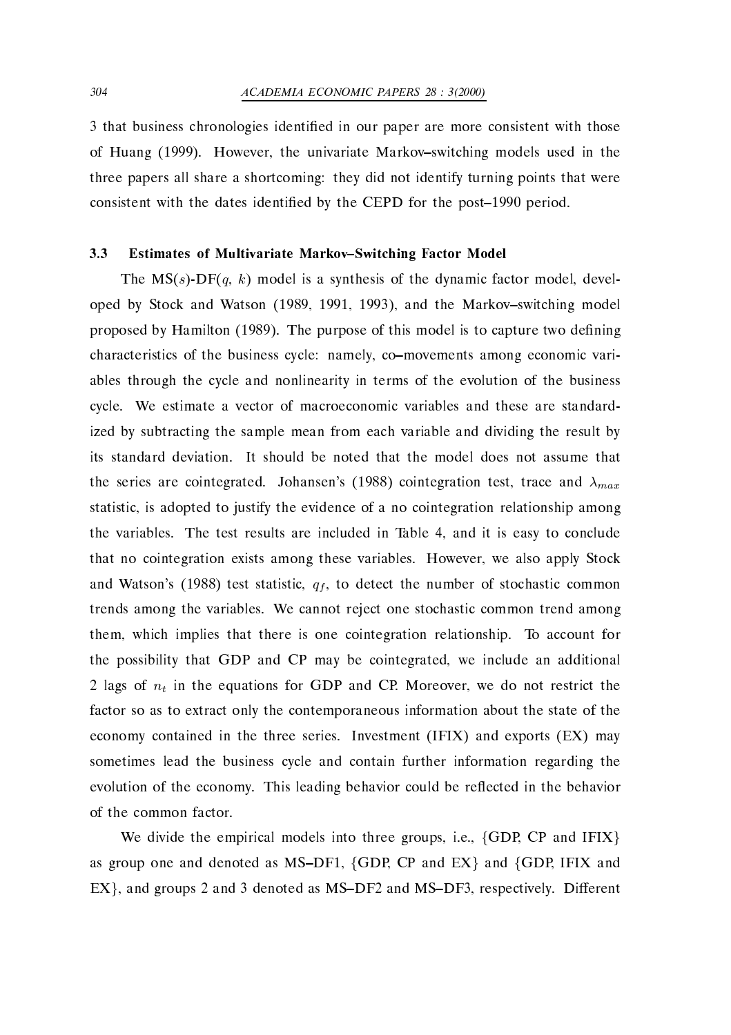that business chronologies identi
ed in our paper are more consistent with those of Huang (Howard December the University Markovski, used in the university models used in the University of th three papers all share a shortcoming: they did not identify turning points that were consistent with the dates identi
ed by the CEPD for the post- period 

#### 3.3 Estimates of Multivariate Markov-Switching Factor Model

The  $MS(s)$ -DF $(q, k)$  model is a synthesis of the dynamic factor model, developed by Stock and Watson (Stock) Stock and Markovswitching model proposed by Hamilton (H) as  $\mu$  to purpose the capture to the cup culture the context  $\mu$ characteristics of the business cycle: namely, co-movements among economic variables through the cycle and nonlinearity in terms of the evolution of the business cycle. We estimate a vector of macroeconomic variables and these are standardized by subtracting the sample mean from each variable and dividing the result by its standard deviation. It should be noted that the model does not assume that the series are cointegrated. Johansen's (1988) cointegration test, trace and  $\lambda_{max}$ statistic, is adopted to justify the evidence of a no cointegration relationship among the variables. The test results are included in Table 4, and it is easy to conclude that no cointegration exists among these variables. However, we also apply Stock and Watson's (1988) test statistic,  $q_f$ , to detect the number of stochastic common trends among the variables. We cannot reject one stochastic common trend among them, which implies that there is one cointegration relationship. To account for the possibility that GDP and CP may be cointegrated, we include an additional 2 lags of  $n_t$  in the equations for GDP and CP. Moreover, we do not restrict the factor so as to extract only the contemporaneous information about the state of the economy contained in the three series. Investment  $(IFIX)$  and exports  $(EX)$  may sometimes lead the business cycle and contain further information regarding the evolution of the economy. This leading behavior could be reflected in the behavior of the common factor 

We divide the empirical models into three groups, i.e.,  $\{GDP, CP \text{ and IFIX}\}\$ as group one and denoted as MS–DF1, {GDP, CP and EX} and {GDP, IFIX and  $\text{EX}\}$ , and groups 2 and 3 denoted as MS–DF2 and MS–DF3, respectively. Different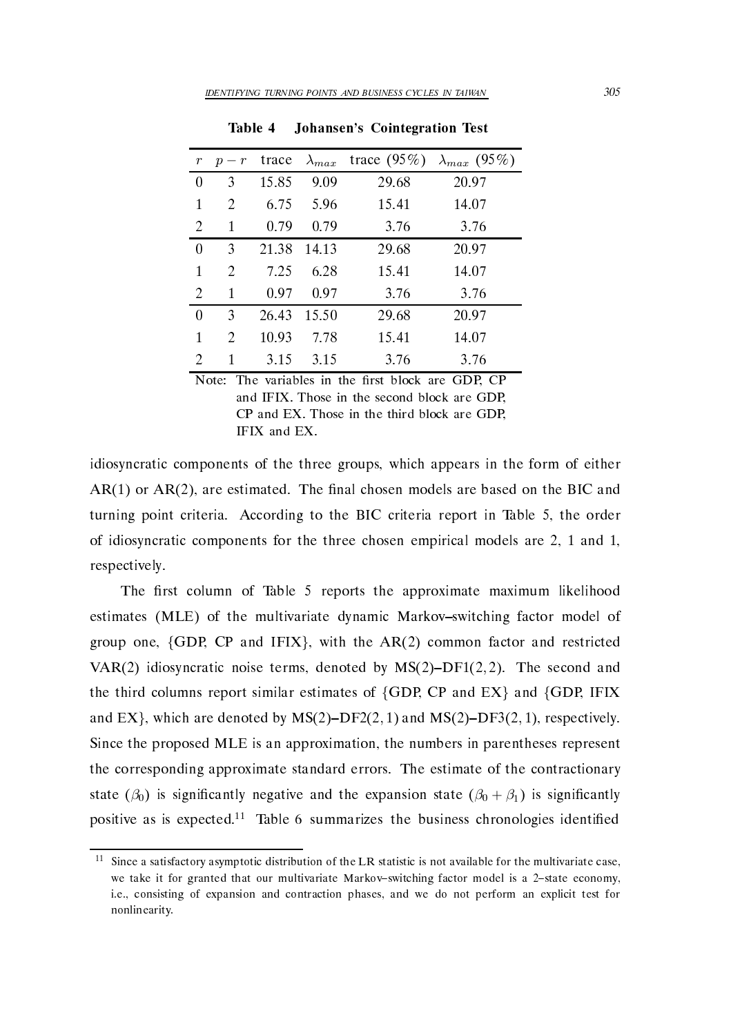| $r_{\rm }$ | $p - r$ | trace | $\lambda_{max}$ | trace $(95\%)$ | $\lambda_{max}$ (95%) |
|------------|---------|-------|-----------------|----------------|-----------------------|
| 0          | 3       | 15.85 | 9.09            | 29.68          | 20.97                 |
| 1          | 2       | 6.75  | 5.96            | 15.41          | 14.07                 |
| 2          | 1       | 0.79  | 0.79            | 3.76           | 3.76                  |
| 0          | 3       | 21.38 | 14.13           | 29.68          | 20.97                 |
| 1          | 2       | 7.25  | 6.28            | 15.41          | 14.07                 |
| 2          | 1       | 0.97  | 0.97            | 3.76           | 3.76                  |
| $\theta$   | 3       | 26.43 | 15.50           | 29.68          | 20.97                 |
| 1          | 2       | 10.93 | 7.78            | 15.41          | 14.07                 |
| 2          | 1       | 3.15  | 3.15            | 3.76           | 3.76                  |

Table 4 Johansen's Cointegration Test

Note The  $\ell$  -ratio block are GDP CPP CPP  $\ell$  block are GDP CPP CPP CPP CPP  $\ell$ and IFIX. Those in the second block are GDP. CP and EX. Those in the third block are GDP. commodiate the third block are the third block and the third block and the third block are GDP and the third b IFIX and EX

idiosyncratic components of the three groups, which appears in the form of either are estimated the community of the BIC and the BIC and the BIC and the BIC and the BIC and the BIC and BIC and turning point criteria. According to the BIC criteria report in Table 5, the order of idiosyncratic components for the three chosen empirical models are - and respectively 

The first column of Table 5 reports the approximate maximum likelihood estimates (MLE) of the multivariate dynamic Markov-switching factor model of group one,  $\{GDP, CP \text{ and } IFIX\}$ , with the  $AR(2)$  common factor and restricted VAR(2) idiosyncratic noise terms, denoted by  $MS(2)-DF1(2,2)$ . The second and the third columns report similar estimates of  $\{GDP, CP \text{ and } EX\}$  and  $\{GDP, IFIX$ and EX}, which are denoted by  ${\rm MS}(2){\rm -DF2}(2,1)$  and  ${\rm MS}(2){\rm -DF3}(2,1)$ , respectively. Since the proposed MLE is an approximation the numbers in parentheses represent the corresponding approximate standard errors The estimate of the contractionary state ( $\beta_0$ ) is significantly negative and the expansion state ( $\beta_0 + \beta_1$ ) is significantly positive as is expected.<sup>11</sup> Table 6 summarizes the business chronologies identified

Since a satisfactory asymptotic distribution of the LR statistic is not available for the multivariate casewe take it for granted that our multivariate Markov-switching factor model is a 2-state economy, ie- consisting of expansion and contraction phases- and we do not perform an explicit test for nonlinearity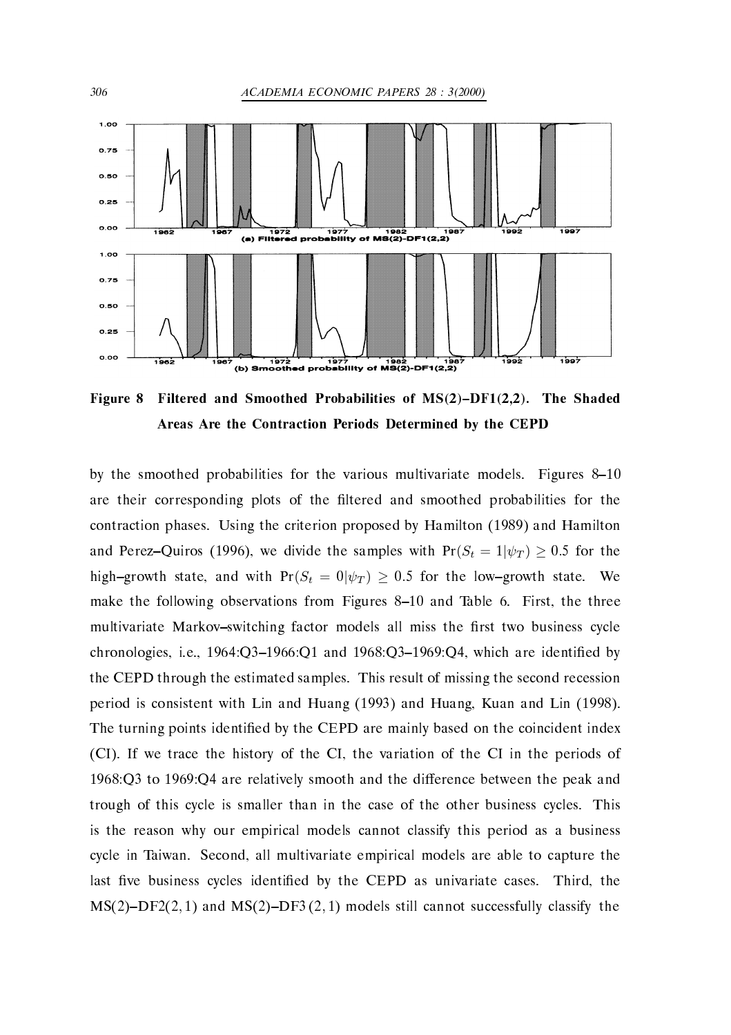

Figure Filtered and Smoothed Probabilities of MSDF- The Shaded Areas Are the Contraction Periods Determined by the CEPD

by the smoothed probabilities for the various multivariate models Figures are their corresponding plots of the ltered and smoothed probabilities for the contraction phases Using the criterion proposed by Hamilton - and Hamilton and Perez–Quiros (1996), we divide the samples with  $Pr(S_t = 1|\psi_T) \ge 0.5$  for the high-growth state, and with  $Pr(S_t = 0 | \psi_T) \ge 0.5$  for the low-growth state. We make the following from Figures from Figures - from Figures - from Table the three multivariate Markov-switching factor models all miss the first two business cycle chronologies in the chronologies in the chronologies in the chronologies in the chronologies in the chronologie the CEPD through the estimated samples. This result of missing the second recession period is consistent with Lin and Huang (2009) and Linear Music Line (2009). The turning points identified by the CEPD are mainly based on the coincident index (CI). If we trace the history of the CI, the variation of the CI in the periods of -Q to -Q are relatively smooth and the dierence between the peak and trough of this cycle is smaller than in the case of the other business cycles. This is the reason why our empirical models cannot classify this period as a business cycle in Taiwan. Second, all multivariate empirical models are able to capture the last five business cycles identified by the CEPD as univariate cases. Third, the  $MS(2)-DF2(2, 1)$  and  $MS(2)-DF3(2, 1)$  models still cannot successfully classify the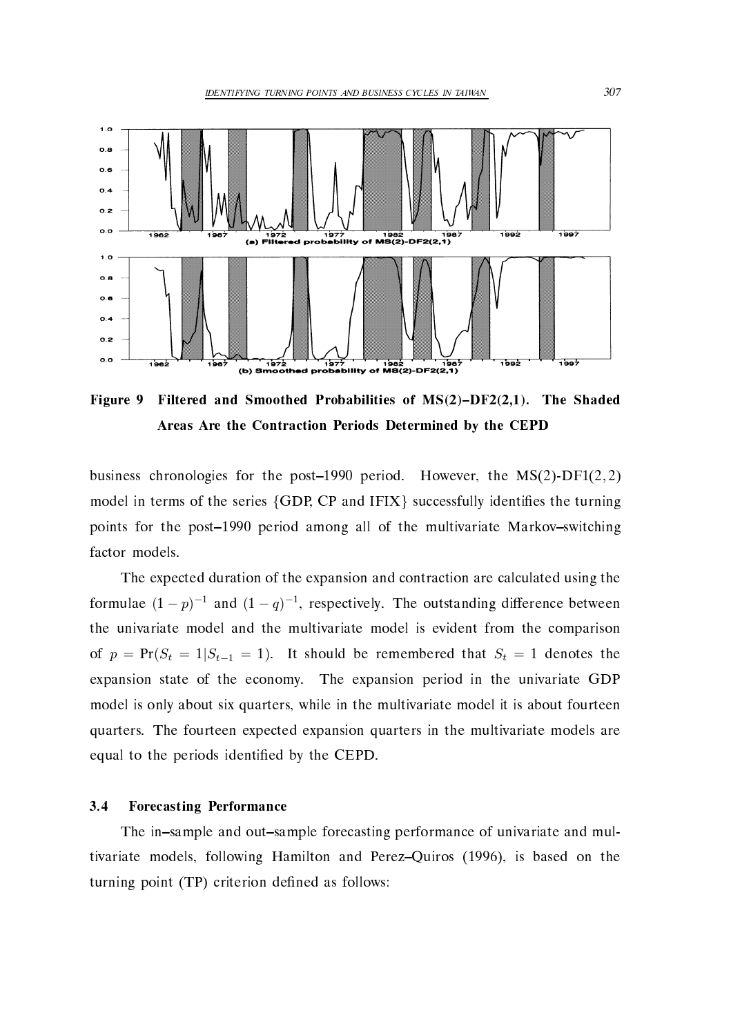

Figure Filtered and Smoothed Probabilities of MSDF- The Shaded Areas Are the Contraction Periods Determined by the CEPD

business chronologies for the post-1990 period. However, the  $MS(2)$ -DF1 $(2, 2)$ model in terms of the series  $\{GDP, CP \text{ and } IFIX\}$  successfully identifies the turning points for the post-club period allocated and the multivariate multiple and multiples are multiples of the multiples factor models 

The expected duration of the expansion and contraction are calculated using the formulae  $(1-p)^{-1}$  and  $(1-q)^{-1}$ , respectively. The outstanding difference between the univariate model and the multivariate model is evident from the comparison of  $p = Pr(S_t = 1 | S_{t-1} = 1)$ . It should be remembered that  $S_t = 1$  denotes the expansion state of the economy. The expansion period in the univariate GDP model is only about six quarters, while in the multivariate model it is about fourteen quarters. The fourteen expected expansion quarters in the multivariate models are equal to the periods identified by the CEPD.

### Forecasting Performance

The in–sample and out–sample forecasting performance of univariate and multivariate models following Hamilton and PerezQuiros - is based on the turning point (TP) criterion defined as follows: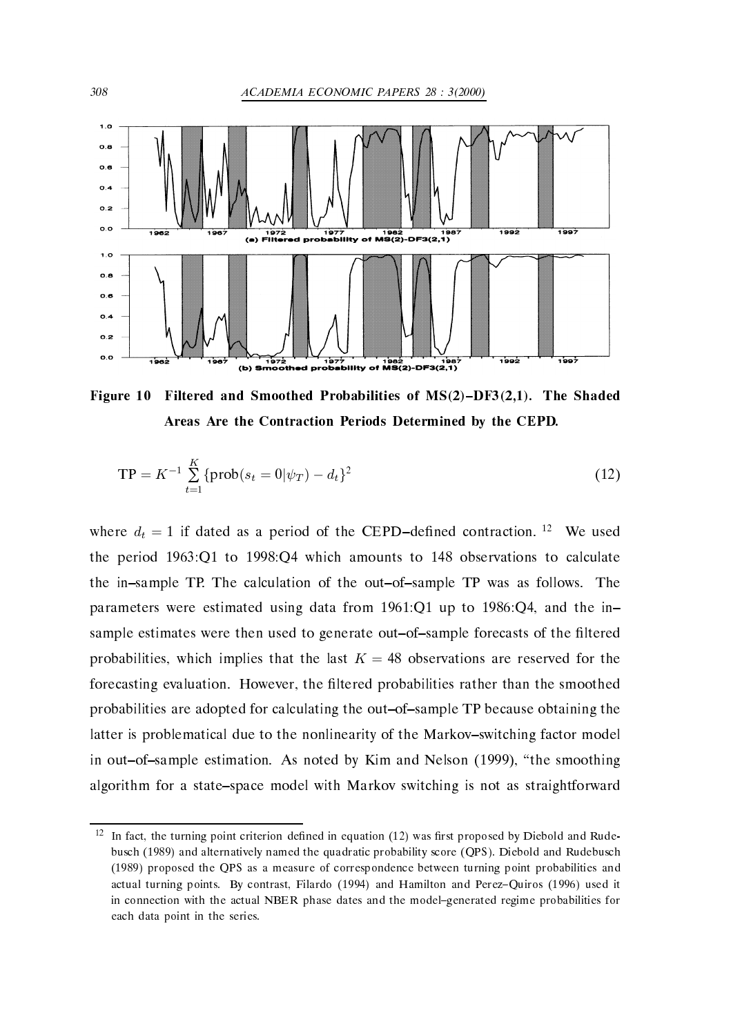

Figure Filtered and Smoothed Probabilities of MSDF- The Shaded Areas Are the Contraction Periods Determined by the CEPD-

$$
TP = K^{-1} \sum_{t=1}^{K} \{ \text{prob}(s_t = 0 | \psi_T) - d_t \}^2
$$
 (12)

where  $d_t = 1$  if dated as a period of the CEPD-defined contraction. <sup>12</sup> We used the period -  $\mathbf{Q}$  which amounts to -  $\mathbf{Q}$  which amounts to calculate  $\mathbf{Q}$  which are set of  $\mathbf{Q}$ the in-sample TP. The calculation of the out-of-sample TP was as follows. The parameters were estimated using data from -  $\mathbf{q}$ sample estimates were then used to generate out-of-sample forecasts of the filtered probabilities, which implies that the last  $K = 48$  observations are reserved for the forecasting evaluation. However, the filtered probabilities rather than the smoothed probabilities are adopted for calculating the out-of-sample TP because obtaining the latter is problematical due to the nonlinearity of the Markov-switching factor model in our outofsample estimation  $\mathbf{A}$  noted by  $\mathbf{A}$  and  $\mathbf{A}$  and  $\mathbf{A}$  and  $\mathbf{A}$  and  $\mathbf{A}$  and  $\mathbf{A}$ algorithm for a state–space model with Markov switching is not as straightforward

In fact, the turning point criterion defined in equation (12) was first proposed by Diebold and Rudebusch (1989) and alternatively named the quadratic probability score (OPS). Diebold and Rudebusch (1989) proposed the QPS as a measure of correspondence between turning point probabilities and actual turning points By contrast- points By contrast- points By contrast- points and PerezQuiros it is a second in connection with the actual NBER phase dates and the model–generated regime probabilities for each data point in the series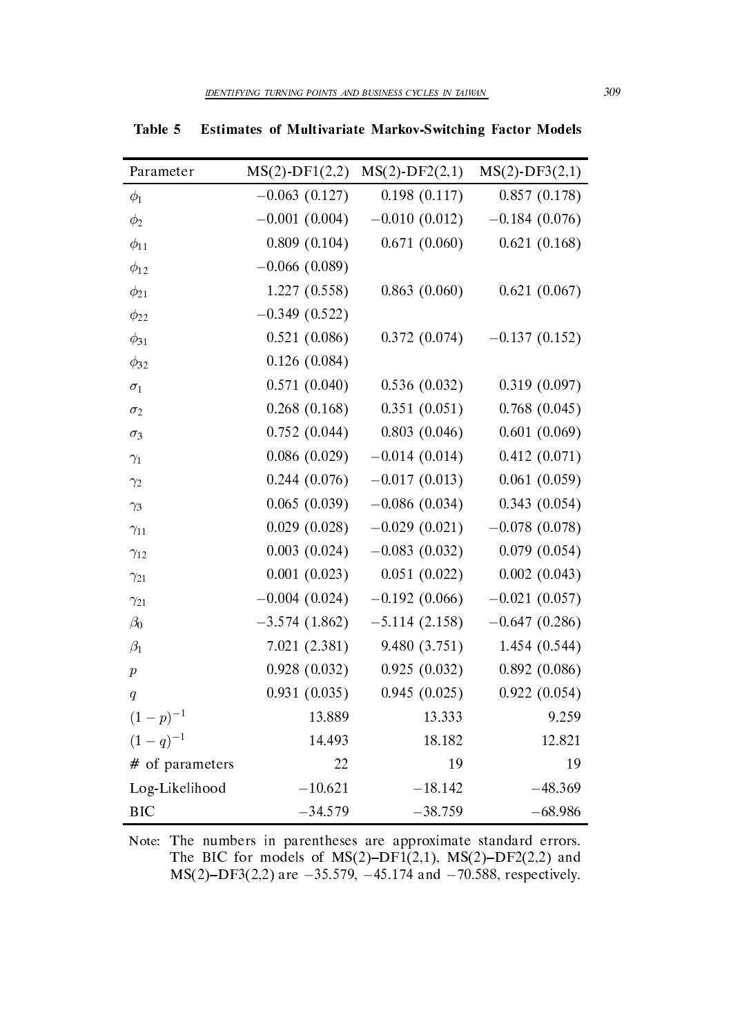| Parameter        | $MS(2)$ -DF1(2,2) | $MS(2)$ -DF2 $(2,1)$ | $MS(2)-DF3(2,1)$              |
|------------------|-------------------|----------------------|-------------------------------|
| $\phi_1$         | $-0.063(0.127)$   | 0.198(0.117)         | 0.857(0.178)                  |
| $\phi_2$         | $-0.001(0.004)$   | $-0.010(0.012)$      | $-0.184(0.076)$               |
| $\phi_{11}$      | 0.809(0.104)      | 0.671(0.060)         | 0.621(0.168)                  |
| $\phi_{12}$      | $-0.066(0.089)$   |                      |                               |
| $\phi_{21}$      | 1.227(0.558)      | 0.863(0.060)         | 0.621(0.067)                  |
| $\phi_{22}$      | $-0.349(0.522)$   |                      |                               |
| $\phi_{31}$      | 0.521(0.086)      | 0.372(0.074)         | $-0.137(0.152)$               |
| $\phi_{32}$      | 0.126(0.084)      |                      |                               |
| $\sigma_1$       | 0.571(0.040)      | 0.536(0.032)         | 0.319(0.097)                  |
| $\sigma_2$       | 0.268(0.168)      | 0.351(0.051)         | 0.768(0.045)                  |
| $\sigma_3$       | 0.752(0.044)      | 0.803(0.046)         | 0.601(0.069)                  |
| $\gamma_1$       | 0.086(0.029)      | $-0.014(0.014)$      | 0.412(0.071)                  |
| $\gamma_2$       | 0.244(0.076)      | $-0.017(0.013)$      | 0.061(0.059)                  |
| $\gamma_3$       | 0.065(0.039)      | $-0.086(0.034)$      | 0.343(0.054)                  |
| $\gamma_{11}$    | 0.029(0.028)      |                      | $-0.029(0.021) -0.078(0.078)$ |
| $\gamma_{12}$    | 0.003(0.024)      | $-0.083(0.032)$      | $0.079$ $(0.054)$             |
| $\gamma_{21}$    | 0.001(0.023)      | 0.051(0.022)         | 0.002(0.043)                  |
| $\gamma_{21}$    | $-0.004(0.024)$   | $-0.192(0.066)$      | $-0.021(0.057)$               |
| $\beta_0$        | $-3.574(1.862)$   | $-5.114(2.158)$      | $-0.647(0.286)$               |
| $\beta_1$        | 7.021 (2.381)     | 9.480(3.751)         | 1.454 (0.544)                 |
| $\boldsymbol{p}$ | 0.928(0.032)      | 0.925(0.032)         | 0.892(0.086)                  |
| q                | 0.931(0.035)      | 0.945(0.025)         | 0.922(0.054)                  |
| $(1-p)^{-1}$     | 13.889            | 13.333               | 9.259                         |
| $(1-q)^{-1}$     | 14.493            | 18.182               | 12.821                        |
| # of parameters  | 22                | 19                   | 19                            |
| Log-Likelihood   | $-10.621$         | $-18.142$            | $-48.369$                     |
| <b>BIC</b>       | $-34.579$         | $-38.759$            | $-68.986$                     |

Table 5 Estimates of Multivariate Markov-Switching Factor Models

Note: The numbers in parentheses are approximate standard errors. The BIC for models of MSDF-- MSDF and  $MS(2)-DF3(2,2)$  are  $-35.579, -45.174$  and  $-70.588$ , respectively.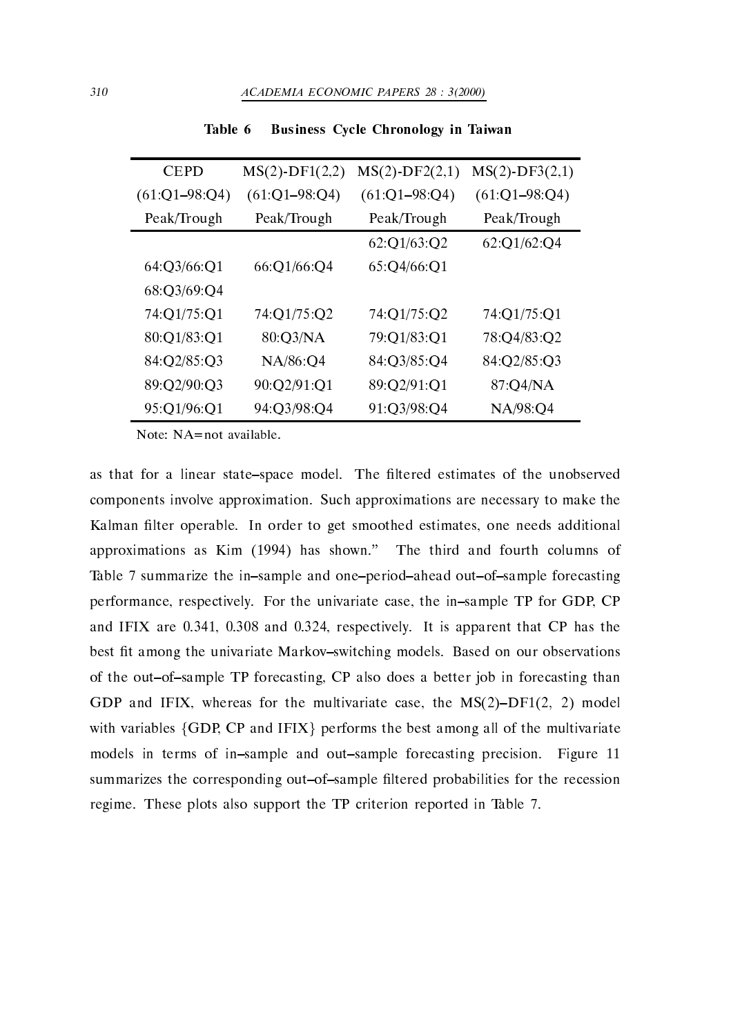| <b>CEPD</b>     | $MS(2)$ -DF1 $(2,2)$ | $MS(2)$ -DF2 $(2,1)$  | $MS(2)$ -DF3 $(2,1)$ |
|-----------------|----------------------|-----------------------|----------------------|
| $(61:Q1-98:Q4)$ | $(61:Q1 - 98:Q4)$    | $(61:Q1 - 98:Q4)$     | $(61:Q1-98:Q4)$      |
| Peak/Trough     | Peak/Trough          | Peak/Trough           | Peak/Trough          |
|                 |                      | 62:01/63:02           | 62:Q1/62:Q4          |
| 64:Q3/66:Q1     | 66:Q1/66:Q4          | $65:Q\frac{4}{66}:Q1$ |                      |
| 68:Q3/69:Q4     |                      |                       |                      |
| 74:Q1/75:Q1     | 74:Q1/75:Q2          | 74:Q1/75:Q2           | 74:Q1/75:Q1          |
| 80:Q1/83:Q1     | 80:Q3/NA             | 79:Q1/83:Q1           | 78:Q4/83:Q2          |
| 84:Q2/85:Q3     | NA/86:Q4             | 84:Q3/85:Q4           | 84:Q2/85:Q3          |
| 89:Q2/90:Q3     | 90:Q2/91:Q1          | 89:Q2/91:Q1           | 87:Q4/NA             |
| 95:Q1/96:Q1     | 94:Q3/98:Q4          | 91:Q3/98:Q4           | NA/98:Q4             |

Business Cycle Chronology in Taiwan Table 6

Note:  $NA = not available$ .

as that for a linear state–space model. The filtered estimates of the unobserved components involve approximation Such approximations are necessary to make the Kalman filter operable. In order to get smoothed estimates, one needs additional approximations as Kim -  $\mathbf{I}$  and fourth columns of third and fourth columns of third and fourth columns of the third and fourth columns of the third and fourth columns of the third and fourth columns of the third and Table 7 summarize the in-sample and one-period-ahead out-of-sample forecasting performance, respectively. For the univariate case, the in-sample TP for GDP, CP and It is a complete that  $\alpha$  is a complete that  $\alpha$  is approximate that  $\alpha$ best fit among the univariate Markov-switching models. Based on our observations of the out-of-sample TP forecasting, CP also does a better job in forecasting than GDP and IFIX, whereas for the multivariate case, the  $MS(2)-DF1(2, 2)$  model with variables  $\{GDP, CP \text{ and IFIX}\}$  performs the best among all of the multivariate models in terms of insample and outsample forecasting precision Figure -summarizes the corresponding out-of-sample filtered probabilities for the recession regime. These plots also support the TP criterion reported in Table 7.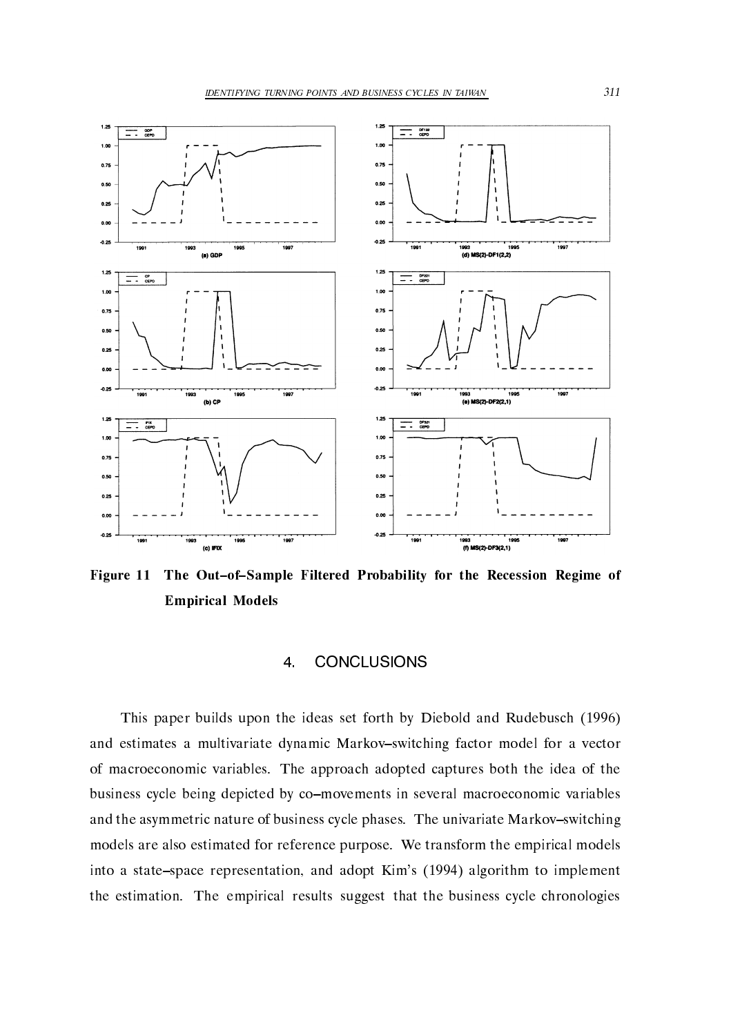

Figure 11 The Out-of-Sample Filtered Probability for the Recession Regime of Empirical Models

This paper builds upon the ideas set forth by Diebold and Rudebusch and estimates a multivariate dynamic Markov-switching factor model for a vector of macroeconomic variables. The approach adopted captures both the idea of the business cycle being depicted by co-movements in several macroeconomic variables and the asymmetric nature of business cycle phases. The univariate Markov-switching models are also estimated for reference purpose. We transform the empirical models into a statespace representation and adopt Kims - algorithm to implement the estimation. The empirical results suggest that the business cycle chronologies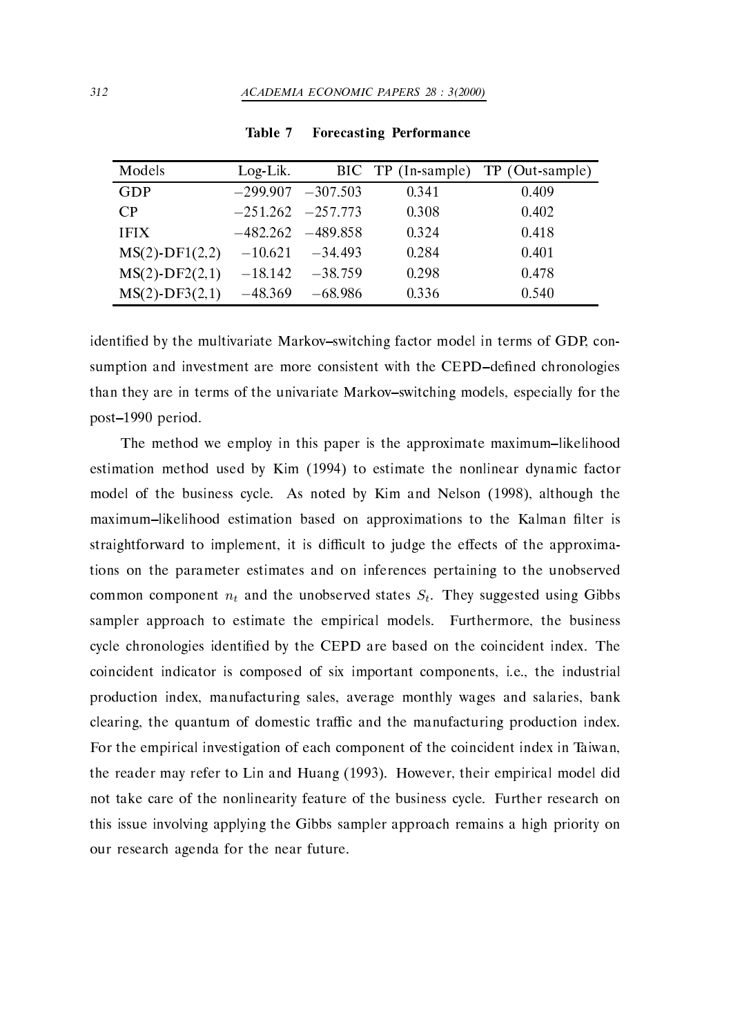| Models               | $Log-Lik.$ |                       |       | BIC TP (In-sample) TP (Out-sample) |
|----------------------|------------|-----------------------|-------|------------------------------------|
| GDP                  |            | $-299.907$ $-307.503$ | 0.341 | 0.409                              |
| CР                   |            | $-251.262 -257.773$   | 0.308 | 0.402                              |
| <b>IFIX</b>          |            | $-482.262 - 489.858$  | 0.324 | 0.418                              |
| $MS(2)$ -DF1 $(2,2)$ | $-10.621$  | $-34.493$             | 0.284 | 0.401                              |
| $MS(2)$ -DF2 $(2,1)$ | $-18.142$  | $-38.759$             | 0.298 | 0.478                              |
| $MS(2)$ -DF3 $(2,1)$ | $-48.369$  | -68.986               | 0.336 | 0.540                              |

Table 7 Forecasting Performance

identified by the multivariate Markov-switching factor model in terms of GDP, consumption and investment are more consistent with the CEPD-defined chronologies than they are in terms of the univariate Markov-switching models, especially for the post-based and periodic control of the control of the control of the control of the control of the control of the control of the control of the control of the control of the control of the control of the control of the con

The method we employ in this paper is the approximate maximum-likelihood estimation method used by Kim - to estimate the nonlinear dynamic factor model of the business cycle and noted by Kim and Nelson (Actory, Nelson Age the maximum-likelihood estimation based on approximations to the Kalman filter is straightforward to implement, it is difficult to judge the effects of the approximations on the parameter estimates and on inferences pertaining to the unobserved common component  $n_t$  and the unobserved states  $S_t$ . They suggested using Gibbs sampler approach to estimate the empirical models. Furthermore, the business cycle chronologies identified by the CEPD are based on the coincident index. The coincident indicator is composed of six important components, i.e., the industrial production index, manufacturing sales, average monthly wages and salaries, bank clearing, the quantum of domestic traffic and the manufacturing production index. For the empirical investigation of each component of the coincident index in Taiwan the reader may refer to Lin and Huang (I) is the first component model and the component of  $\mathbb{R}^n$ not take care of the nonlinearity feature of the business cycle. Further research on this issue involving applying the Gibbs sampler approach remains a high priority on our research agenda for the near future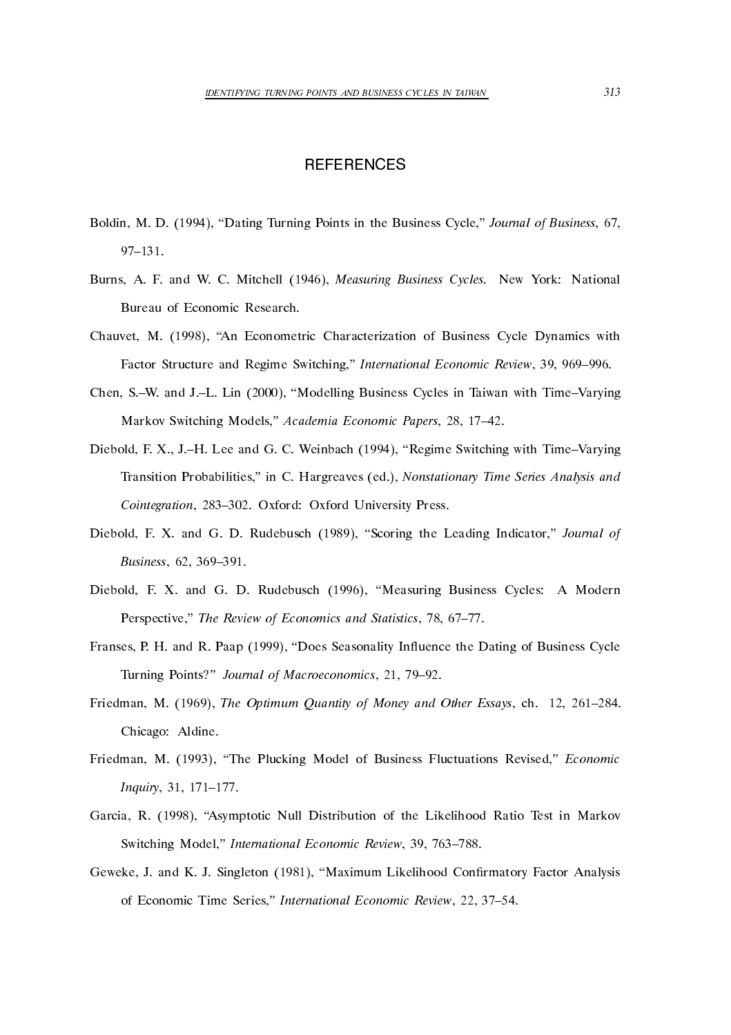### **REFERENCES**

- Bolding Turning Dating Points in the Business Cycle, Induced Journal of Business Co  $97 - 131.$
- $\mathcal{M} = \mathcal{M}$ Bureau of Economic Research.
- chauvet M (1999), consideration communication of Business Cycle Dynamics with Factor Structure and Regime Switching," International Economic Review, 39, 969-996.
- chen Sw and Sw and Julian Sweeten and Julian Communications in Taiwan with Time Varying and Time Varying and T Markov Switching Models," Academia Economic Papers, 28, 17-42.
- Diebold F X JH Lee and G C Weinbach Regime Switching with TimeVarying Transition Probabilities in C Hargreaves ed Nonstationary Time Series Analysis and Cointegration, 283-302. Oxford: Oxford University Press.
- <u>stative</u>, so see that statistically the Leading Indicator **C**ontinuous and the Leading Indicator of the Leading Indian Secondary Common Secondary Common Secondary Common Secondary Common Secondary Common Secondary Common Business, 62, 369-391.
- diebold F X and G D Rudebusch in die bold F D Rudebusch und G D Rudebusch und die bolden auch die Stadt eine E Perspective," The Review of Economics and Statistics, 78, 67-77.
- Franses P H and R Paap Does Seasonality Inuence the Dating of Business Cycle Turning Points?" Journal of Macroeconomics, 21, 79-92.
- Friedman M The Optimum Quantity of Money and Other Essays ch Chicago: Aldine.
- Friedman M The Plucking Model of Business Fluctuations Revised Economic Inquiry, 31, 171-177.
- Garcia R Asymptotic Null Distribution of the Likelihood Ratio Test in Markov Switching Model," International Economic Review, 39, 763-788.
- $\blacksquare$  and  $\blacksquare$  and  $\blacksquare$  and  $\blacksquare$ of Economic Time Series," International Economic Review, 22, 37-54.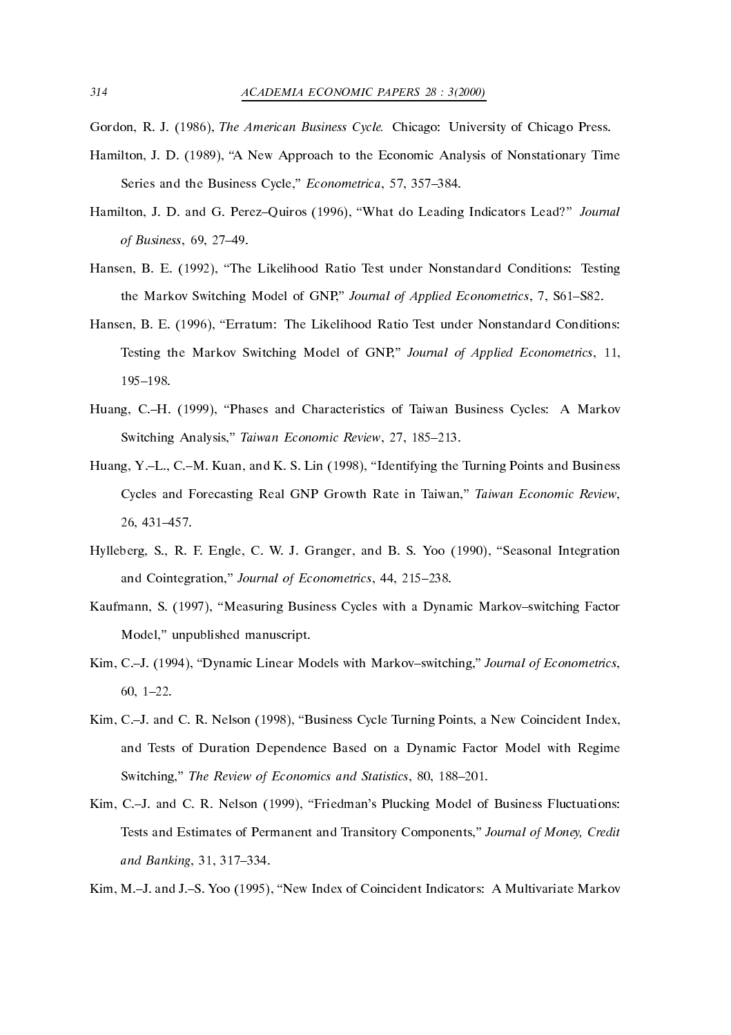Gordon, Survey (1999), Survey Chicago Business Cycle Chicago Pressury of Chicago Pressury (1999)

- Hamilton J D A New Approach to the Economic Analysis of Nonstationary Time Series and the Business Cycle," *Econometrica*, 57, 357-384.
- $\mathcal{A}$  do  $\mathcal{A}$  and  $\mathcal{A}$  and  $\mathcal{A}$  and  $\mathcal{A}$  and  $\mathcal{A}$  and  $\mathcal{A}$  and  $\mathcal{A}$ of Business, 69, 27-49.
- Hansen B E The Likelihood Ratio Test under Nonstandard Conditions Testing the Markov Switching Model of GNP," Journal of Applied Econometrics, 7, S61-S82.
- Hansen B E Erratum The Likelihood Ratio Test under Nonstandard Conditions Testing the Markov Switching Model of GNP," Journal of Applied Econometrics, 11, 195-198.
- Huang CH Phases and Characteristics of Taiwan Business Cycles A Markov Switching Analysis," Taiwan Economic Review, 27, 185-213.
- Huang YL CM Kuan and K S Lin Identifying the Turning Points and Business Cycles and Forecasting Real GNP Growth Rate in Taiwan," Taiwan Economic Review, 26, 431-457.
- Hylleberg S R F Engle C W J Granger and B S Yoo Seasonal Integration and Cointegration," Journal of Econometrics, 44, 215-238.
- Kaufmann S Measuring Business Cycles with a Dynamic Markovswitching Factor Model," unpublished manuscript.
- kim Care Linear Models with Markovski markovski markovski matematici (and the economic second contract of  $\mathbb{R}^n$  $60.1 - 22.$
- Kim CJ and C R Nelson Business Cycle Turning Points a New Coincident Index and Tests of Duration Dependence Based on a Dynamic Factor Model with Regime Switching," The Review of Economics and Statistics, 80, 188–201.
- $\mathcal{F}$  and  $\mathcal{F}$  and  $\mathcal{F}$  and  $\mathcal{F}$  and  $\mathcal{F}$  and  $\mathcal{F}$  and  $\mathcal{F}$  and  $\mathcal{F}$  and  $\mathcal{F}$  and  $\mathcal{F}$  and  $\mathcal{F}$  and  $\mathcal{F}$  and  $\mathcal{F}$  and  $\mathcal{F}$  and  $\mathcal{F}$  and  $\mathcal{F}$  and  $\mathcal{F}$  and Tests and Estimates of Permanent and Transitory Components Journal of Money- Credit and Banking, 31, 317-334.
- Kim MJ and JS Yoo New Index of Coincident Indicators A Multivariate Markov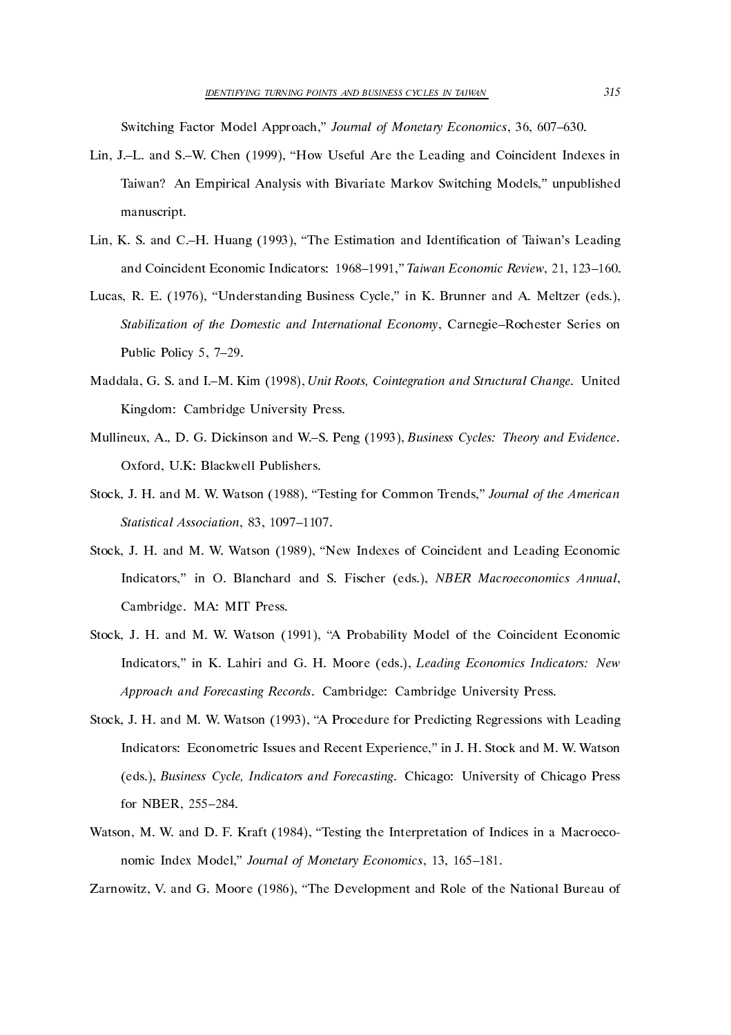Switching Factor Model Approach," Journal of Monetary Economics, 36, 607–630.

- Lin JL and SW Chen How Useful Are the Leading and Coincident Indexes in Taiwan? An Empirical Analysis with Bivariate Markov Switching Models," unpublished manuscript
- $\blacksquare$ and Coincident Economic Indicators: 1968–1991," Taiwan Economic Review, 21, 123–160.
- Lucas R E Understanding Business Cycle in K Brunner and A Meltzer eds Stabilization of the Domestic and International Economy, Carnegie-Rochester Series on Public Policy 5, 7-29.
- Maddala G S and IM Kim Unit Roots- Cointegration and Structural Change United Kingdom: Cambridge University Press.
- Mullineux A D G Dickinson and WS Peng Business Cycles Theory and Evidence oxford Publishers Publishers Publishers Publishers Publishers Publishers Publishers Publishers Publishers Publ
- stock, it can make the form that  $\{x_i, x_{i}\}$  , commonly common common the Million Trendship (1999) and the American Statistical Association, 83, 1097-1107.
- Stock J H and M W Watson New Indexes of Coincident and Leading Economic Indicators in O Blanchard and S Fischer eds NBER Macroeconomics Annual Cambridge. MA: MIT Press.
- stock, it can man first which is the coincident model of the Coincident and Coincident Coincidents. Indicators in K Lahiri and G H Moore eds Leading Economics Indicators New Approach and Forecasting Records. Cambridge: Cambridge University Press.
- Stock J H and M W Watson A Procedure for Predicting Regressions with Leading Indicators: Econometric Issues and Recent Experience," in J. H. Stock and M. W. Watson eds Business Cycle- Indicators and Forecasting Chicago University of Chicago Press for NBER
- water when the  $\mathcal{L}_1$  and  $\mathcal{L}_2$  is a matrix  $\mathcal{L}_3$  in a matrix in a macroecology in a macroecology in a matrix  $\mathcal{L}_3$ nomic Index Model," Journal of Monetary Economics, 13, 165-181.

Zarnowitz V and G Moore The Development and Role of the National Bureau of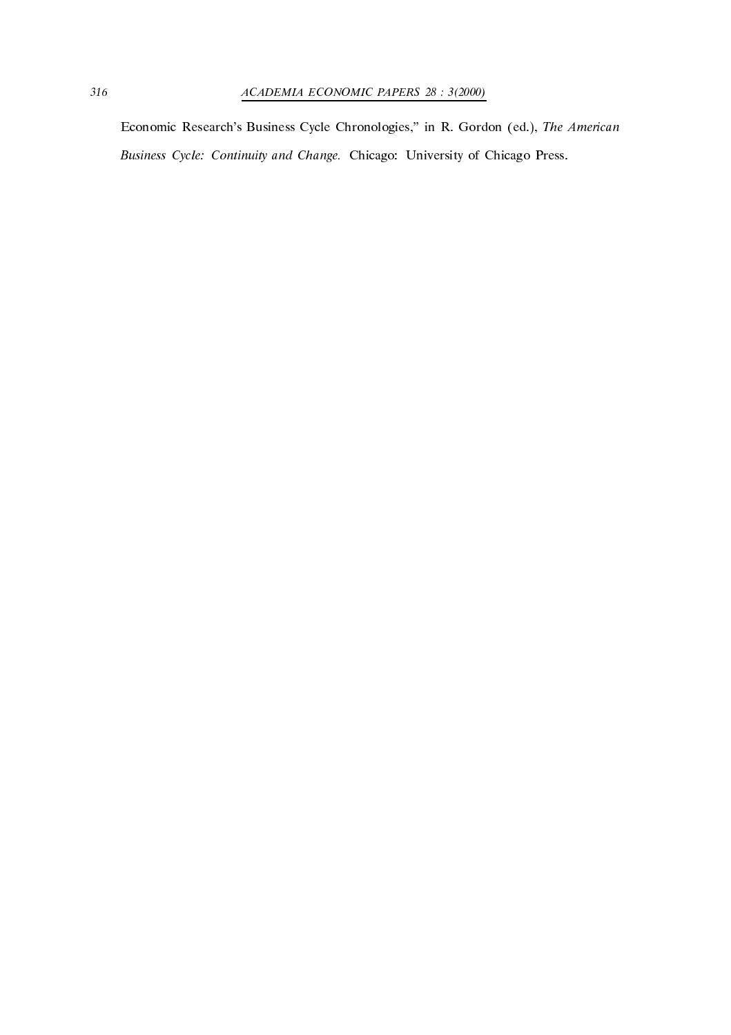economic researchs Business Cycle Chronologies, the Research (Pas) researches in R Gordon editors in R Gordon Business Cycle: Continuity and Change. Chicago: University of Chicago Press.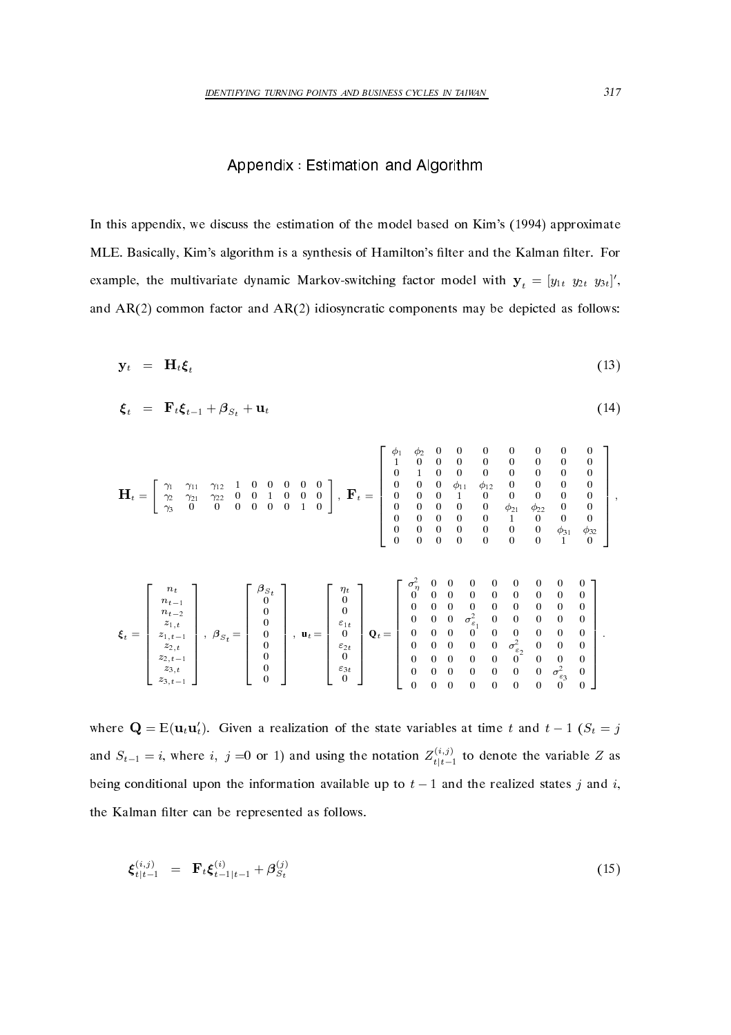### Appendix : Estimation and Algorithm

In this appendix we discuss the estimation of the model based on Kims a provided provided on the model of the MLE. Basically, Kim's algorithm is a synthesis of Hamilton's filter and the Kalman filter. For example, the multivariate dynamic Markov-switching factor model with  $y_t = [y_{1t} \ y_{2t} \ y_{3t}]'$ , and AR common factor and AR idiosyncratic components may be depicted as follows

$$
\mathbf{y}_t = \mathbf{H}_t \boldsymbol{\xi}_t \tag{13}
$$

$$
\boldsymbol{\xi}_t = \mathbf{F}_t \boldsymbol{\xi}_{t-1} + \boldsymbol{\beta}_{S_t} + \mathbf{u}_t \tag{14}
$$

$$
\mathbf{H}_{t} = \left[ \begin{array}{cccccc} \gamma_{1} & \gamma_{11} & \gamma_{12} & 1 & 0 & 0 & 0 & 0 & 0 \\ \gamma_{2} & \gamma_{21} & \gamma_{22} & 0 & 0 & 1 & 0 & 0 & 0 \\ \gamma_{3} & 0 & 0 & 0 & 0 & 0 & 0 & 1 & 0 \\ \gamma_{4} & 0 & 0 & 0 & 0 & 0 & 0 & 0 & 0 \\ \end{array} \right], \ \mathbf{F}_{t} = \left[ \begin{array}{cccccc} \phi_{1} & \phi_{2} & 0 & 0 & 0 & 0 & 0 & 0 & 0 \\ 1 & 0 & 0 & 0 & 0 & 0 & 0 & 0 & 0 \\ 0 & 1 & 0 & 0 & 0 & 0 & 0 & 0 & 0 \\ 0 & 0 & 0 & \phi_{11} & \phi_{12} & 0 & 0 & 0 & 0 \\ 0 & 0 & 0 & 1 & 0 & 0 & 0 & 0 & 0 \\ 0 & 0 & 0 & 0 & 0 & 0 & 0 & 0 & 0 \\ 0 & 0 & 0 & 0 & 0 & 0 & 0 & 0 & 0 \\ 0 & 0 & 0 & 0 & 0 & 0 & 0 & 0 & 1 \\ 0 & 0 & 0 & 0 & 0 & 0 & 0 & 0 & 1 \end{array} \right],
$$

$$
\pmb{\xi}_t = \left[\begin{array}{c} n_t \\ n_{t-1} \\ n_{t-2} \\ z_{1,t} \\ z_{1,t-1} \\ z_{2,t} \\ z_{3,t-1} \\ z_{3,t-1} \end{array}\right], \ \ \beta_{S_t} = \left[\begin{array}{c} \beta_{S_t} \\ 0 \\ 0 \\ 0 \\ 0 \\ 0 \\ 0 \\ 0 \end{array}\right], \ \ \mathbf{u}_t = \left[\begin{array}{c} \eta_t \\ 0 \\ 0 \\ 0 \\ \varepsilon_{1t} \\ 0 \\ 0 \\ 0 \\ 0 \end{array}\right] \mathbf{v}_t = \left[\begin{array}{cccc} \sigma_{\eta}^2 & 0 & 0 & 0 & 0 & 0 & 0 & 0 & 0 \\ 0 & 0 & 0 & 0 & 0 & 0 & 0 & 0 \\ 0 & 0 & 0 & 0 & 0 & 0 & 0 & 0 \\ 0 & 0 & 0 & 0 & 0 & 0 & 0 & 0 \\ 0 & 0 & 0 & 0 & 0 & 0 & 0 & 0 \\ 0 & 0 & 0 & 0 & 0 & 0 & 0 & 0 \\ 0 & 0 & 0 & 0 & 0 & 0 & 0 & 0 \\ 0 & 0 & 0 & 0 & 0 & 0 & 0 & 0 \\ 0 & 0 & 0 & 0 & 0 & 0 & 0 & 0 & 0 \\ 0 & 0 & 0 & 0 & 0 & 0 & 0 & 0 & 0 \\ 0 & 0 & 0 & 0 & 0 & 0 & 0 & 0 & 0 \\ 0 & 0 & 0 & 0 & 0 & 0 & 0 & 0 & 0 \\ 0 & 0 & 0 & 0 & 0 & 0 & 0 & 0 & 0 \\ 0 & 0 & 0 & 0 & 0 & 0 & 0 & 0 & 0 \\ 0 & 0 & 0 & 0 & 0 & 0 & 0 & 0 & 0 \end{array}\right].
$$

where  $\mathbf{Q} = \mathrm{E}(\mathbf{u}_t \mathbf{u}'_t)$ . Given a realization of the state variables at time t and  $t - 1$  ( $S_t = j$ and  $S_{t-1} = i$ , where i, j = 0 or 1) and using the notation  $Z_{t|t-1}^{(i,j)}$  to denote the variable Z as being conditional upon the information available up to  $t - 1$  and the realized states j and i, the Kalman filter can be represented as follows.

$$
\xi_{t|t-1}^{(i,j)} = \mathbf{F}_t \xi_{t-1|t-1}^{(i)} + \beta_{S_t}^{(j)}
$$
(15)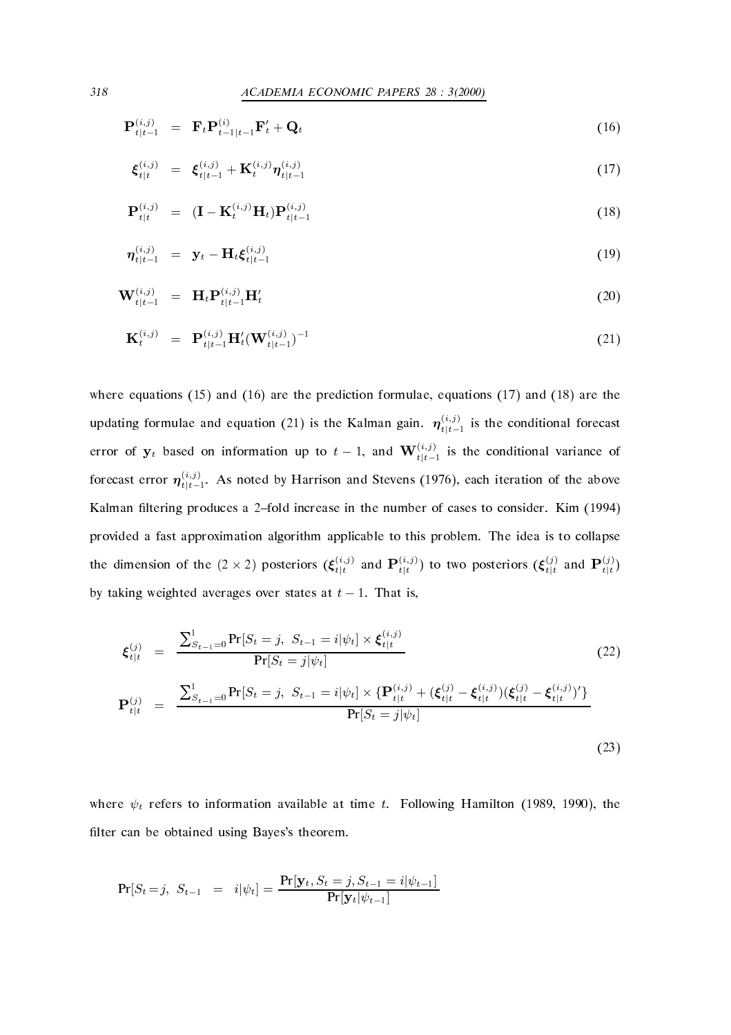$$
\mathbf{P}_{t|t-1}^{(i,j)} = \mathbf{F}_t \mathbf{P}_{t-1|t-1}^{(i)} \mathbf{F}_t' + \mathbf{Q}_t \tag{16}
$$

$$
\xi_{t|t}^{(i,j)} = \xi_{t|t-1}^{(i,j)} + \mathbf{K}_t^{(i,j)} \eta_{t|t-1}^{(i,j)}
$$
(17)

$$
\mathbf{P}_{t|t}^{(i,j)} = (\mathbf{I} - \mathbf{K}_t^{(i,j)} \mathbf{H}_t) \mathbf{P}_{t|t-1}^{(i,j)} \tag{18}
$$

$$
\eta_{t|t-1}^{(i,j)} = \mathbf{y}_t - \mathbf{H}_t \boldsymbol{\xi}_{t|t-1}^{(i,j)}
$$
(19)

$$
\mathbf{W}_{t|t-1}^{(i,j)} = \mathbf{H}_t \mathbf{P}_{t|t-1}^{(i,j)} \mathbf{H}_t'
$$
\n(20)

$$
\mathbf{K}_t^{(i,j)} = \mathbf{P}_{t|t-1}^{(i,j)} \mathbf{H}_t' (\mathbf{W}_{t|t-1}^{(i,j)})^{-1}
$$
(21)

where equations (se) where  $\mu$  are the prediction formulations (se) when (se) where  $\mu$ updating formulae and equation (21) is the Kalman gain.  $\eta_{t|t-1}^{(i,j)}$  is the conditional forecast error of  $y_t$  based on information up to  $t-1$ , and  $\mathbf{W}_{t|t-1}^{(i,j)}$  is the conditional variance of forecast error  $\eta_{t|t-1}^{(i,j)}$ . As noted by Harrison and Stevens (1976), each iteration of the above Kalman filtering produces a 2-fold increase in the number of cases to consider. Kim (1994) provided a fast approximation algorithm applicable to this problem The idea is to collapse the dimension of the  $(2 \times 2)$  posteriors  $(\xi_{t|t}^{(i,j)}$  and  $\mathbf{P}_{t|t}^{(i,j)})$  to two posteriors  $(\xi_{t|t}^{(j)}$  and  $\mathbf{P}_{t|t}^{(j)})$ by taking weighted averages over states at  $t - 1$ . That is,

$$
\boldsymbol{\xi}_{t|t}^{(j)} = \frac{\sum_{S_{t-1}=0}^{1} \Pr[S_t = j, S_{t-1} = i | \psi_t] \times \boldsymbol{\xi}_{t|t}^{(i,j)}}{\Pr[S_t = j | \psi_t]}
$$
(22)  

$$
\mathbf{P}_{t|t}^{(j)} = \frac{\sum_{S_{t-1}=0}^{1} \Pr[S_t = j, S_{t-1} = i | \psi_t] \times \{ \mathbf{P}_{t|t}^{(i,j)} + (\boldsymbol{\xi}_{t|t}^{(j)} - \boldsymbol{\xi}_{t|t}^{(i,j)}) (\boldsymbol{\xi}_{t|t}^{(j)} - \boldsymbol{\xi}_{t|t}^{(i,j)})'\}}{\Pr[S_t = j | \psi_t]}
$$
(23)

where  $\psi_t$  refers to information available at time t. Following Hamilton (1989, 1990), the filter can be obtained using Bayes's theorem.

$$
\Pr[S_t = j, \ S_{t-1} = i | \psi_t] = \frac{\Pr[\mathbf{y}_t, S_t = j, S_{t-1} = i | \psi_{t-1}]}{\Pr[\mathbf{y}_t | \psi_{t-1}]}
$$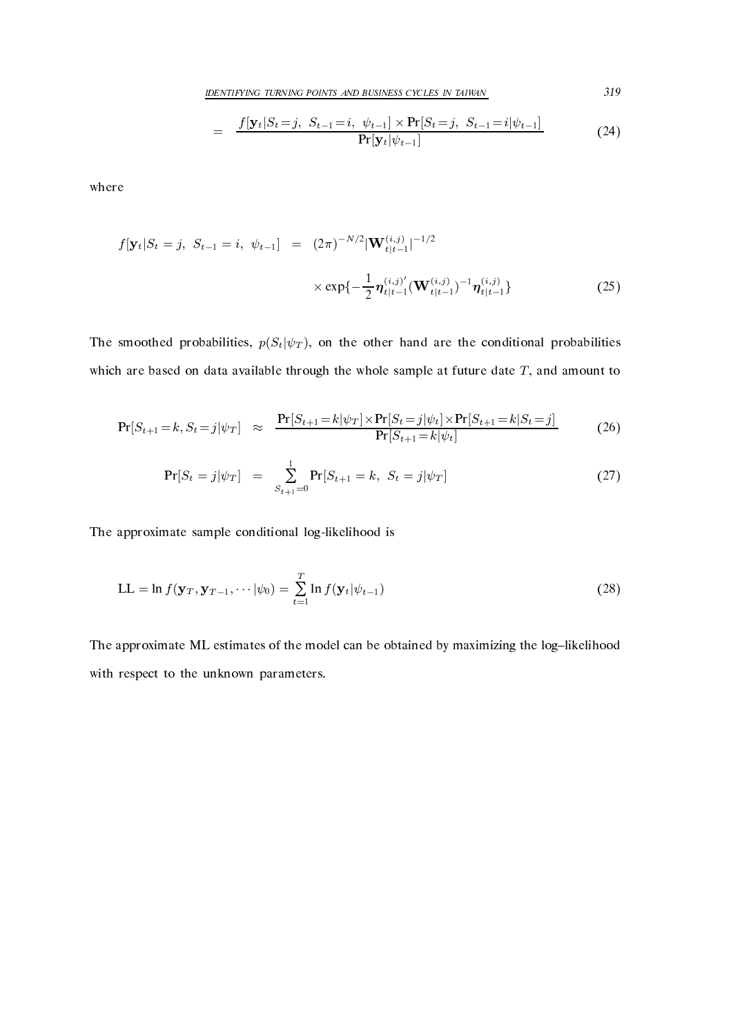IDENTIFYING TURNING POINTS AND BUSINESS CYCLES IN TAIWAN 519

$$
= \frac{f[\mathbf{y}_t|S_t=j, S_{t-1}=i, \psi_{t-1}] \times \Pr[S_t=j, S_{t-1}=i|\psi_{t-1}]}{\Pr[\mathbf{y}_t|\psi_{t-1}]}
$$
(24)

where

$$
f[\mathbf{y}_t|S_t = j, S_{t-1} = i, \psi_{t-1}] = (2\pi)^{-N/2} |\mathbf{W}_{t|t-1}^{(i,j)}|^{-1/2}
$$

$$
\times \exp\{-\frac{1}{2} \boldsymbol{\eta}_{t|t-1}^{(i,j)'} (\mathbf{W}_{t|t-1}^{(i,j)})^{-1} \boldsymbol{\eta}_{t|t-1}^{(i,j)}\}
$$
(25)

The smoothed probabilities,  $p(S_t|\psi_T)$ , on the other hand are the conditional probabilities which are based on data available through the whole sample at future date  $T$ , and amount to

$$
Pr[S_{t+1} = k, S_t = j | \psi_T] \approx \frac{Pr[S_{t+1} = k | \psi_T] \times Pr[S_t = j | \psi_t] \times Pr[S_{t+1} = k | S_t = j]}{Pr[S_{t+1} = k | \psi_t]} \tag{26}
$$

$$
Pr[S_t = j | \psi_T] = \sum_{S_{t+1}=0}^{1} Pr[S_{t+1} = k, S_t = j | \psi_T]
$$
 (27)

The approximate sample conditional log-likelihood is

$$
LL = \ln f(\mathbf{y}_T, \mathbf{y}_{T-1}, \cdots | \psi_0) = \sum_{t=1}^T \ln f(\mathbf{y}_t | \psi_{t-1})
$$
\n(28)

The approximate ML estimates of the model can be obtained by maximizing the log-likelihood with respect to the unknown parameters